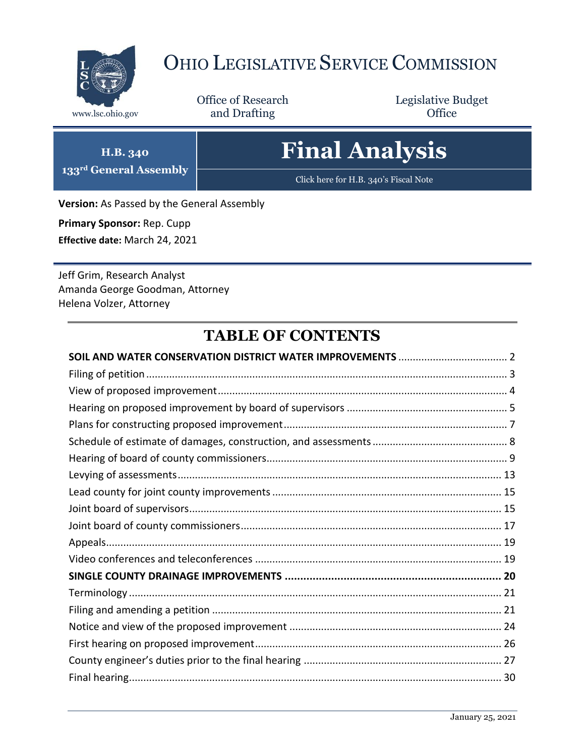

# OHIO LEGISLATIVE SERVICE COMMISSION

Office of Research www.lsc.ohio.gov **and Drafting Office** 

Legislative Budget

# **Final Analysis**

Click here for H.B. 340's Fiscal Note

**Version:** As Passed by the General Assembly

**Primary Sponsor:** Rep. Cupp **Effective date:** March 24, 2021

**H.B. 340 133rd General Assembly**

Jeff Grim, Research Analyst Amanda George Goodman, Attorney Helena Volzer, Attorney

## **TABLE OF CONTENTS**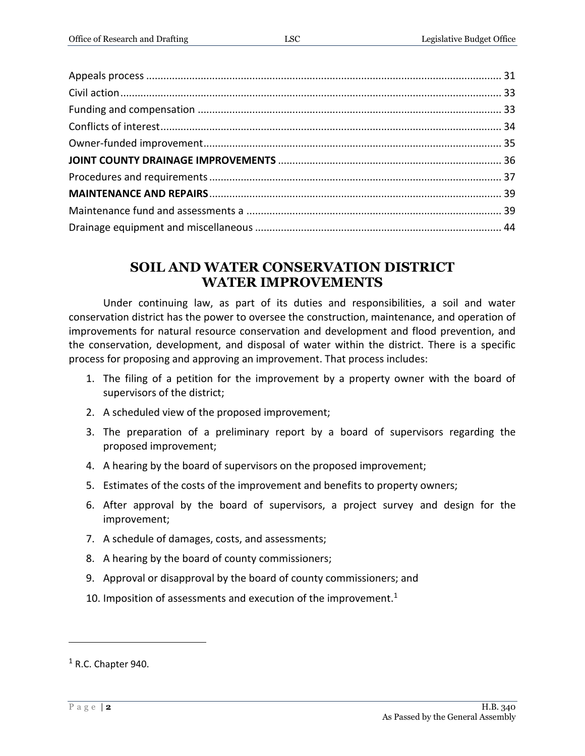# [Drainage equipment and miscellaneous......................................................................................](#page-43-0) 44

#### **SOIL AND WATER CONSERVATION DISTRICT WATER IMPROVEMENTS**

<span id="page-1-0"></span>Under continuing law, as part of its duties and responsibilities, a soil and water conservation district has the power to oversee the construction, maintenance, and operation of improvements for natural resource conservation and development and flood prevention, and the conservation, development, and disposal of water within the district. There is a specific process for proposing and approving an improvement. That process includes:

- 1. The filing of a petition for the improvement by a property owner with the board of supervisors of the district;
- 2. A scheduled view of the proposed improvement;
- 3. The preparation of a preliminary report by a board of supervisors regarding the proposed improvement;
- 4. A hearing by the board of supervisors on the proposed improvement;
- 5. Estimates of the costs of the improvement and benefits to property owners;
- 6. After approval by the board of supervisors, a project survey and design for the improvement;
- 7. A schedule of damages, costs, and assessments;
- 8. A hearing by the board of county commissioners;
- 9. Approval or disapproval by the board of county commissioners; and
- 10. Imposition of assessments and execution of the improvement.<sup>1</sup>

 $\overline{a}$ 

 $<sup>1</sup>$  R.C. Chapter 940.</sup>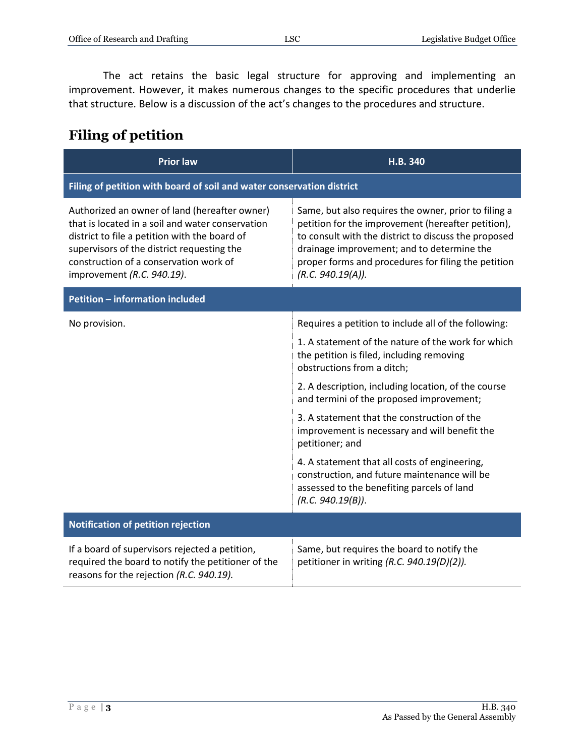The act retains the basic legal structure for approving and implementing an improvement. However, it makes numerous changes to the specific procedures that underlie that structure. Below is a discussion of the act's changes to the procedures and structure.

#### <span id="page-2-0"></span>**Filing of petition**

| <b>Prior law</b>                                                                                                                                                                                                                                                         | H.B. 340                                                                                                                                                                                                                                                                                     |
|--------------------------------------------------------------------------------------------------------------------------------------------------------------------------------------------------------------------------------------------------------------------------|----------------------------------------------------------------------------------------------------------------------------------------------------------------------------------------------------------------------------------------------------------------------------------------------|
| Filing of petition with board of soil and water conservation district                                                                                                                                                                                                    |                                                                                                                                                                                                                                                                                              |
| Authorized an owner of land (hereafter owner)<br>that is located in a soil and water conservation<br>district to file a petition with the board of<br>supervisors of the district requesting the<br>construction of a conservation work of<br>improvement (R.C. 940.19). | Same, but also requires the owner, prior to filing a<br>petition for the improvement (hereafter petition),<br>to consult with the district to discuss the proposed<br>drainage improvement; and to determine the<br>proper forms and procedures for filing the petition<br>(R.C. 940.19(A)). |
| <b>Petition - information included</b>                                                                                                                                                                                                                                   |                                                                                                                                                                                                                                                                                              |
| No provision.                                                                                                                                                                                                                                                            | Requires a petition to include all of the following:                                                                                                                                                                                                                                         |
|                                                                                                                                                                                                                                                                          | 1. A statement of the nature of the work for which<br>the petition is filed, including removing<br>obstructions from a ditch;                                                                                                                                                                |
|                                                                                                                                                                                                                                                                          | 2. A description, including location, of the course<br>and termini of the proposed improvement;                                                                                                                                                                                              |
|                                                                                                                                                                                                                                                                          | 3. A statement that the construction of the<br>improvement is necessary and will benefit the<br>petitioner; and                                                                                                                                                                              |
|                                                                                                                                                                                                                                                                          | 4. A statement that all costs of engineering,<br>construction, and future maintenance will be<br>assessed to the benefiting parcels of land<br>(R.C. 940.19(B)).                                                                                                                             |
| <b>Notification of petition rejection</b>                                                                                                                                                                                                                                |                                                                                                                                                                                                                                                                                              |
| If a board of supervisors rejected a petition,<br>required the board to notify the petitioner of the<br>reasons for the rejection (R.C. 940.19).                                                                                                                         | Same, but requires the board to notify the<br>petitioner in writing (R.C. 940.19(D)(2)).                                                                                                                                                                                                     |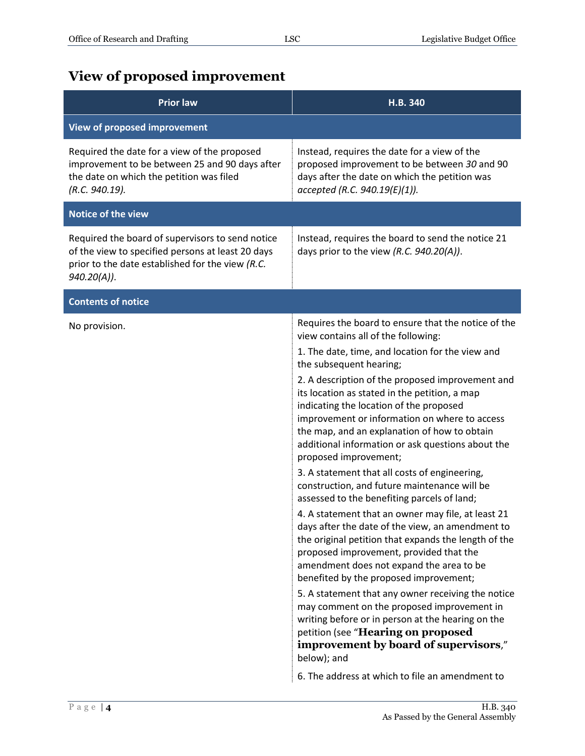## <span id="page-3-0"></span>**View of proposed improvement**

| Instead, requires the date for a view of the<br>proposed improvement to be between 30 and 90<br>days after the date on which the petition was<br>accepted (R.C. 940.19(E)(1)).                                                                                                                                                                                                                                                                                                                                                                                                                                                                                                                                                                                                                                                                                                                                                                                                                                                                                                                                                                                                                                                                                        |
|-----------------------------------------------------------------------------------------------------------------------------------------------------------------------------------------------------------------------------------------------------------------------------------------------------------------------------------------------------------------------------------------------------------------------------------------------------------------------------------------------------------------------------------------------------------------------------------------------------------------------------------------------------------------------------------------------------------------------------------------------------------------------------------------------------------------------------------------------------------------------------------------------------------------------------------------------------------------------------------------------------------------------------------------------------------------------------------------------------------------------------------------------------------------------------------------------------------------------------------------------------------------------|
|                                                                                                                                                                                                                                                                                                                                                                                                                                                                                                                                                                                                                                                                                                                                                                                                                                                                                                                                                                                                                                                                                                                                                                                                                                                                       |
| Instead, requires the board to send the notice 21<br>days prior to the view $(R.C. 940.20(A)).$                                                                                                                                                                                                                                                                                                                                                                                                                                                                                                                                                                                                                                                                                                                                                                                                                                                                                                                                                                                                                                                                                                                                                                       |
|                                                                                                                                                                                                                                                                                                                                                                                                                                                                                                                                                                                                                                                                                                                                                                                                                                                                                                                                                                                                                                                                                                                                                                                                                                                                       |
| Requires the board to ensure that the notice of the<br>view contains all of the following:<br>1. The date, time, and location for the view and<br>the subsequent hearing;<br>2. A description of the proposed improvement and<br>its location as stated in the petition, a map<br>indicating the location of the proposed<br>improvement or information on where to access<br>the map, and an explanation of how to obtain<br>additional information or ask questions about the<br>proposed improvement;<br>3. A statement that all costs of engineering,<br>construction, and future maintenance will be<br>assessed to the benefiting parcels of land;<br>4. A statement that an owner may file, at least 21<br>days after the date of the view, an amendment to<br>the original petition that expands the length of the<br>proposed improvement, provided that the<br>amendment does not expand the area to be<br>benefited by the proposed improvement;<br>5. A statement that any owner receiving the notice<br>may comment on the proposed improvement in<br>writing before or in person at the hearing on the<br>petition (see "Hearing on proposed<br>improvement by board of supervisors,"<br>below); and<br>6. The address at which to file an amendment to |
|                                                                                                                                                                                                                                                                                                                                                                                                                                                                                                                                                                                                                                                                                                                                                                                                                                                                                                                                                                                                                                                                                                                                                                                                                                                                       |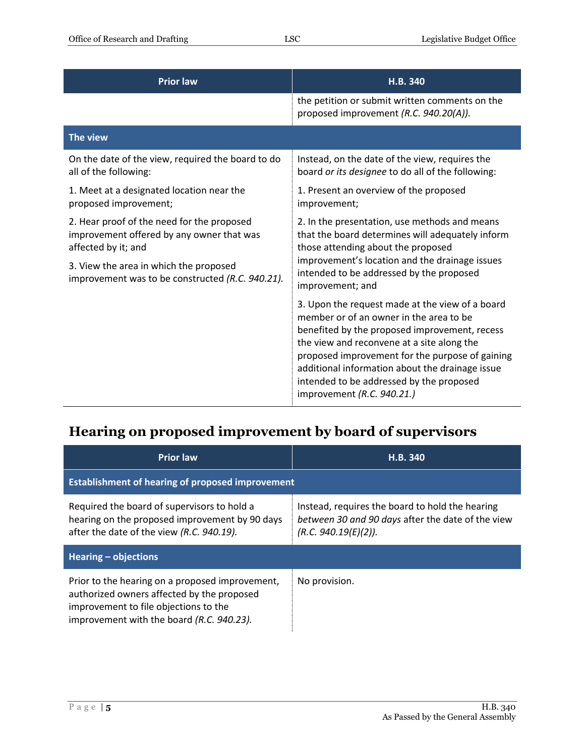| <b>Prior law</b>                                                                                               | H.B. 340                                                                                                                                                                                                                                                                                                                                                                  |
|----------------------------------------------------------------------------------------------------------------|---------------------------------------------------------------------------------------------------------------------------------------------------------------------------------------------------------------------------------------------------------------------------------------------------------------------------------------------------------------------------|
|                                                                                                                | the petition or submit written comments on the<br>proposed improvement (R.C. 940.20(A)).                                                                                                                                                                                                                                                                                  |
| The view                                                                                                       |                                                                                                                                                                                                                                                                                                                                                                           |
| On the date of the view, required the board to do<br>all of the following:                                     | Instead, on the date of the view, requires the<br>board or its designee to do all of the following:                                                                                                                                                                                                                                                                       |
| 1. Meet at a designated location near the<br>proposed improvement;                                             | 1. Present an overview of the proposed<br>improvement;                                                                                                                                                                                                                                                                                                                    |
| 2. Hear proof of the need for the proposed<br>improvement offered by any owner that was<br>affected by it; and | 2. In the presentation, use methods and means<br>that the board determines will adequately inform<br>those attending about the proposed                                                                                                                                                                                                                                   |
| 3. View the area in which the proposed<br>improvement was to be constructed (R.C. 940.21).                     | improvement's location and the drainage issues<br>intended to be addressed by the proposed<br>improvement; and                                                                                                                                                                                                                                                            |
|                                                                                                                | 3. Upon the request made at the view of a board<br>member or of an owner in the area to be<br>benefited by the proposed improvement, recess<br>the view and reconvene at a site along the<br>proposed improvement for the purpose of gaining<br>additional information about the drainage issue<br>intended to be addressed by the proposed<br>improvement (R.C. 940.21.) |

### <span id="page-4-0"></span>**Hearing on proposed improvement by board of supervisors**

| <b>Prior law</b>                                                                                                                                                                    | H.B. 340                                                                                                                     |  |
|-------------------------------------------------------------------------------------------------------------------------------------------------------------------------------------|------------------------------------------------------------------------------------------------------------------------------|--|
| <b>Establishment of hearing of proposed improvement</b>                                                                                                                             |                                                                                                                              |  |
| Required the board of supervisors to hold a<br>hearing on the proposed improvement by 90 days<br>after the date of the view (R.C. 940.19).                                          | Instead, requires the board to hold the hearing<br>between 30 and 90 days after the date of the view<br>(R.C. 940.19(E)(2)). |  |
| Hearing $-$ objections                                                                                                                                                              |                                                                                                                              |  |
| Prior to the hearing on a proposed improvement,<br>authorized owners affected by the proposed<br>improvement to file objections to the<br>improvement with the board (R.C. 940.23). | No provision.                                                                                                                |  |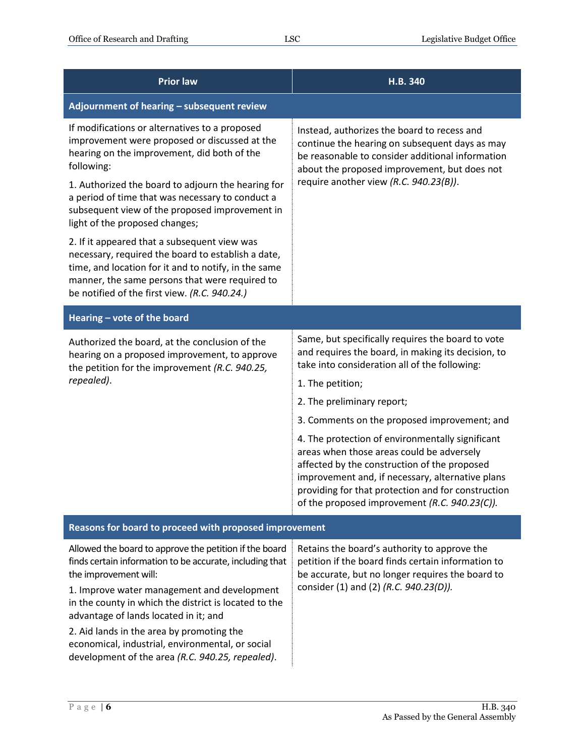| <b>Prior law</b>                                                                                                                                                                                                                                                                                                                          | H.B. 340                                                                                                                                                                                                                                                                                                 |  |
|-------------------------------------------------------------------------------------------------------------------------------------------------------------------------------------------------------------------------------------------------------------------------------------------------------------------------------------------|----------------------------------------------------------------------------------------------------------------------------------------------------------------------------------------------------------------------------------------------------------------------------------------------------------|--|
| Adjournment of hearing - subsequent review                                                                                                                                                                                                                                                                                                |                                                                                                                                                                                                                                                                                                          |  |
| If modifications or alternatives to a proposed<br>improvement were proposed or discussed at the<br>hearing on the improvement, did both of the<br>following:                                                                                                                                                                              | Instead, authorizes the board to recess and<br>continue the hearing on subsequent days as may<br>be reasonable to consider additional information<br>about the proposed improvement, but does not                                                                                                        |  |
| 1. Authorized the board to adjourn the hearing for<br>a period of time that was necessary to conduct a<br>subsequent view of the proposed improvement in<br>light of the proposed changes;                                                                                                                                                | require another view (R.C. 940.23(B)).                                                                                                                                                                                                                                                                   |  |
| 2. If it appeared that a subsequent view was<br>necessary, required the board to establish a date,<br>time, and location for it and to notify, in the same<br>manner, the same persons that were required to<br>be notified of the first view. (R.C. 940.24.)                                                                             |                                                                                                                                                                                                                                                                                                          |  |
| Hearing - vote of the board                                                                                                                                                                                                                                                                                                               |                                                                                                                                                                                                                                                                                                          |  |
| Authorized the board, at the conclusion of the<br>hearing on a proposed improvement, to approve<br>the petition for the improvement (R.C. 940.25,<br>repealed).                                                                                                                                                                           | Same, but specifically requires the board to vote<br>and requires the board, in making its decision, to<br>take into consideration all of the following:                                                                                                                                                 |  |
|                                                                                                                                                                                                                                                                                                                                           | 1. The petition;                                                                                                                                                                                                                                                                                         |  |
|                                                                                                                                                                                                                                                                                                                                           | 2. The preliminary report;                                                                                                                                                                                                                                                                               |  |
|                                                                                                                                                                                                                                                                                                                                           | 3. Comments on the proposed improvement; and                                                                                                                                                                                                                                                             |  |
|                                                                                                                                                                                                                                                                                                                                           | 4. The protection of environmentally significant<br>areas when those areas could be adversely<br>affected by the construction of the proposed<br>improvement and, if necessary, alternative plans<br>providing for that protection and for construction<br>of the proposed improvement (R.C. 940.23(C)). |  |
| Reasons for board to proceed with proposed improvement                                                                                                                                                                                                                                                                                    |                                                                                                                                                                                                                                                                                                          |  |
| Allowed the board to approve the petition if the board<br>finds certain information to be accurate, including that<br>the improvement will:<br>1. Improve water management and development<br>in the county in which the district is located to the<br>advantage of lands located in it; and<br>2. Aid lands in the area by promoting the | Retains the board's authority to approve the<br>petition if the board finds certain information to<br>be accurate, but no longer requires the board to<br>consider (1) and (2) (R.C. 940.23(D)).                                                                                                         |  |
| economical, industrial, environmental, or social<br>development of the area (R.C. 940.25, repealed).                                                                                                                                                                                                                                      |                                                                                                                                                                                                                                                                                                          |  |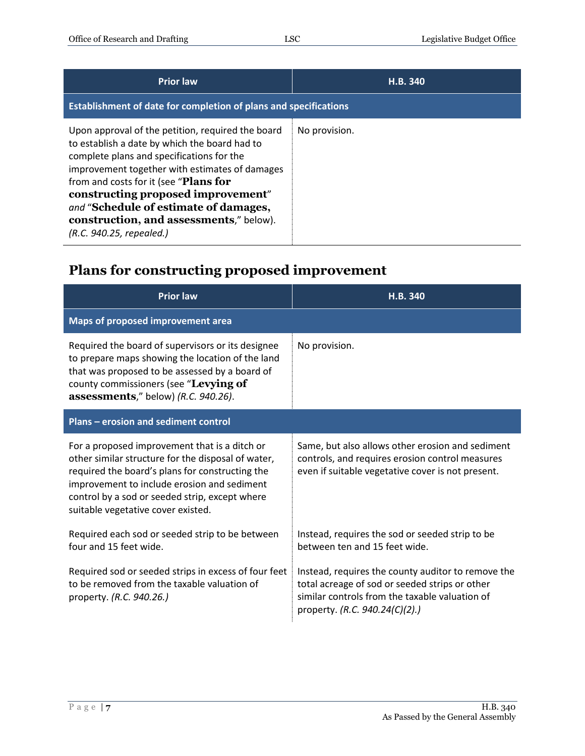| <b>Prior law</b>                                                                                                                                                                                                                                                                                                                                                                                 | H.B. 340      |  |
|--------------------------------------------------------------------------------------------------------------------------------------------------------------------------------------------------------------------------------------------------------------------------------------------------------------------------------------------------------------------------------------------------|---------------|--|
| Establishment of date for completion of plans and specifications                                                                                                                                                                                                                                                                                                                                 |               |  |
| Upon approval of the petition, required the board<br>to establish a date by which the board had to<br>complete plans and specifications for the<br>improvement together with estimates of damages<br>from and costs for it (see "Plans for<br>constructing proposed improvement"<br>and "Schedule of estimate of damages,<br>construction, and assessments," below).<br>(R.C. 940.25, repealed.) | No provision. |  |

### <span id="page-6-0"></span>**Plans for constructing proposed improvement**

| <b>Prior law</b>                                                                                                                                                                                                                                                                              | H.B. 340                                                                                                                                                                                 |  |
|-----------------------------------------------------------------------------------------------------------------------------------------------------------------------------------------------------------------------------------------------------------------------------------------------|------------------------------------------------------------------------------------------------------------------------------------------------------------------------------------------|--|
| Maps of proposed improvement area                                                                                                                                                                                                                                                             |                                                                                                                                                                                          |  |
| Required the board of supervisors or its designee<br>to prepare maps showing the location of the land<br>that was proposed to be assessed by a board of<br>county commissioners (see "Levying of<br>assessments," below) (R.C. 940.26).                                                       | No provision.                                                                                                                                                                            |  |
| Plans – erosion and sediment control                                                                                                                                                                                                                                                          |                                                                                                                                                                                          |  |
| For a proposed improvement that is a ditch or<br>other similar structure for the disposal of water,<br>required the board's plans for constructing the<br>improvement to include erosion and sediment<br>control by a sod or seeded strip, except where<br>suitable vegetative cover existed. | Same, but also allows other erosion and sediment<br>controls, and requires erosion control measures<br>even if suitable vegetative cover is not present.                                 |  |
| Required each sod or seeded strip to be between<br>four and 15 feet wide.                                                                                                                                                                                                                     | Instead, requires the sod or seeded strip to be<br>between ten and 15 feet wide.                                                                                                         |  |
| Required sod or seeded strips in excess of four feet<br>to be removed from the taxable valuation of<br>property. (R.C. 940.26.)                                                                                                                                                               | Instead, requires the county auditor to remove the<br>total acreage of sod or seeded strips or other<br>similar controls from the taxable valuation of<br>property. (R.C. 940.24(C)(2).) |  |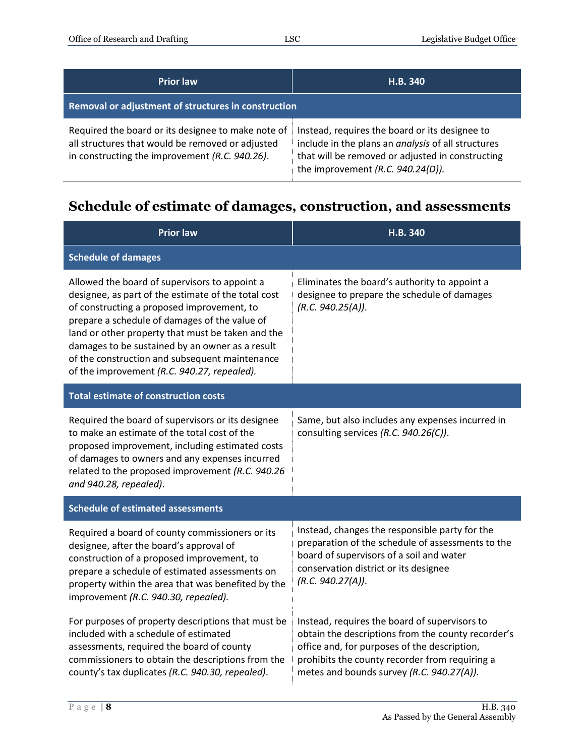| <b>Prior law</b>                                                                                                                                         | H.B. 340                                                                                                                                                                                             |
|----------------------------------------------------------------------------------------------------------------------------------------------------------|------------------------------------------------------------------------------------------------------------------------------------------------------------------------------------------------------|
| Removal or adjustment of structures in construction                                                                                                      |                                                                                                                                                                                                      |
| Required the board or its designee to make note of<br>all structures that would be removed or adjusted<br>in constructing the improvement (R.C. 940.26). | Instead, requires the board or its designee to<br>include in the plans an <i>analysis</i> of all structures<br>that will be removed or adjusted in constructing<br>the improvement (R.C. 940.24(D)). |

#### <span id="page-7-0"></span>**Schedule of estimate of damages, construction, and assessments**

| <b>Prior law</b>                                                                                                                                                                                                                                                                                                                                                                                             | H.B. 340                                                                                                                                                                                                                                           |  |
|--------------------------------------------------------------------------------------------------------------------------------------------------------------------------------------------------------------------------------------------------------------------------------------------------------------------------------------------------------------------------------------------------------------|----------------------------------------------------------------------------------------------------------------------------------------------------------------------------------------------------------------------------------------------------|--|
| <b>Schedule of damages</b>                                                                                                                                                                                                                                                                                                                                                                                   |                                                                                                                                                                                                                                                    |  |
| Allowed the board of supervisors to appoint a<br>designee, as part of the estimate of the total cost<br>of constructing a proposed improvement, to<br>prepare a schedule of damages of the value of<br>land or other property that must be taken and the<br>damages to be sustained by an owner as a result<br>of the construction and subsequent maintenance<br>of the improvement (R.C. 940.27, repealed). | Eliminates the board's authority to appoint a<br>designee to prepare the schedule of damages<br>(R.C. 940.25(A)).                                                                                                                                  |  |
| <b>Total estimate of construction costs</b>                                                                                                                                                                                                                                                                                                                                                                  |                                                                                                                                                                                                                                                    |  |
| Required the board of supervisors or its designee<br>to make an estimate of the total cost of the<br>proposed improvement, including estimated costs<br>of damages to owners and any expenses incurred<br>related to the proposed improvement (R.C. 940.26<br>and 940.28, repealed).                                                                                                                         | Same, but also includes any expenses incurred in<br>consulting services (R.C. 940.26(C)).                                                                                                                                                          |  |
| <b>Schedule of estimated assessments</b>                                                                                                                                                                                                                                                                                                                                                                     |                                                                                                                                                                                                                                                    |  |
| Required a board of county commissioners or its<br>designee, after the board's approval of<br>construction of a proposed improvement, to<br>prepare a schedule of estimated assessments on<br>property within the area that was benefited by the<br>improvement (R.C. 940.30, repealed).                                                                                                                     | Instead, changes the responsible party for the<br>preparation of the schedule of assessments to the<br>board of supervisors of a soil and water<br>conservation district or its designee<br>(R.C. 940.27(A)).                                      |  |
| For purposes of property descriptions that must be<br>included with a schedule of estimated<br>assessments, required the board of county<br>commissioners to obtain the descriptions from the<br>county's tax duplicates (R.C. 940.30, repealed).                                                                                                                                                            | Instead, requires the board of supervisors to<br>obtain the descriptions from the county recorder's<br>office and, for purposes of the description,<br>prohibits the county recorder from requiring a<br>metes and bounds survey (R.C. 940.27(A)). |  |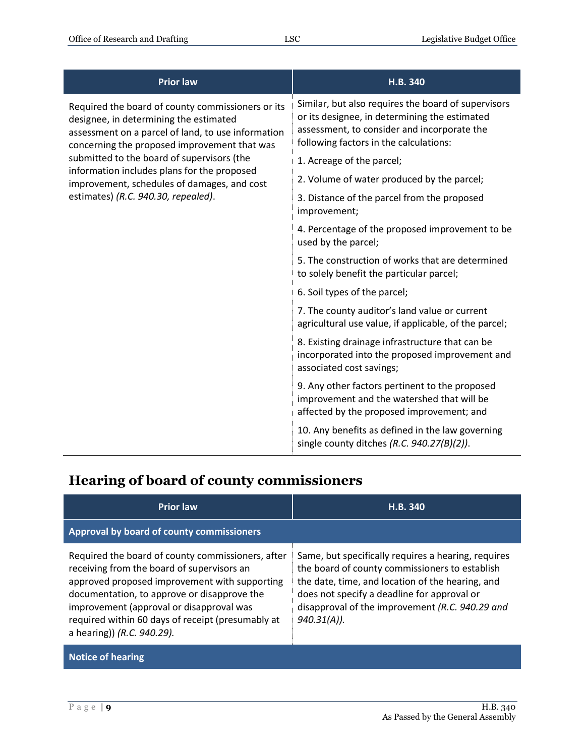| <b>Prior law</b>                                                                                                                                                                                                                                                                               | H.B. 340                                                                                                                                                                                      |
|------------------------------------------------------------------------------------------------------------------------------------------------------------------------------------------------------------------------------------------------------------------------------------------------|-----------------------------------------------------------------------------------------------------------------------------------------------------------------------------------------------|
| Required the board of county commissioners or its<br>designee, in determining the estimated<br>assessment on a parcel of land, to use information<br>concerning the proposed improvement that was<br>submitted to the board of supervisors (the<br>information includes plans for the proposed | Similar, but also requires the board of supervisors<br>or its designee, in determining the estimated<br>assessment, to consider and incorporate the<br>following factors in the calculations: |
|                                                                                                                                                                                                                                                                                                | 1. Acreage of the parcel;                                                                                                                                                                     |
| improvement, schedules of damages, and cost                                                                                                                                                                                                                                                    | 2. Volume of water produced by the parcel;                                                                                                                                                    |
| estimates) (R.C. 940.30, repealed).                                                                                                                                                                                                                                                            | 3. Distance of the parcel from the proposed<br>improvement;                                                                                                                                   |
|                                                                                                                                                                                                                                                                                                | 4. Percentage of the proposed improvement to be<br>used by the parcel;                                                                                                                        |
|                                                                                                                                                                                                                                                                                                | 5. The construction of works that are determined<br>to solely benefit the particular parcel;                                                                                                  |
|                                                                                                                                                                                                                                                                                                | 6. Soil types of the parcel;                                                                                                                                                                  |
|                                                                                                                                                                                                                                                                                                | 7. The county auditor's land value or current<br>agricultural use value, if applicable, of the parcel;                                                                                        |
|                                                                                                                                                                                                                                                                                                | 8. Existing drainage infrastructure that can be<br>incorporated into the proposed improvement and<br>associated cost savings;                                                                 |
|                                                                                                                                                                                                                                                                                                | 9. Any other factors pertinent to the proposed<br>improvement and the watershed that will be<br>affected by the proposed improvement; and                                                     |
|                                                                                                                                                                                                                                                                                                | 10. Any benefits as defined in the law governing<br>single county ditches (R.C. 940.27(B)(2)).                                                                                                |

## <span id="page-8-0"></span>**Hearing of board of county commissioners**

| <b>Prior law</b>                                                                                                                                                                                                                                                                                                               | H.B. 340                                                                                                                                                                                                                                                                      |
|--------------------------------------------------------------------------------------------------------------------------------------------------------------------------------------------------------------------------------------------------------------------------------------------------------------------------------|-------------------------------------------------------------------------------------------------------------------------------------------------------------------------------------------------------------------------------------------------------------------------------|
| Approval by board of county commissioners                                                                                                                                                                                                                                                                                      |                                                                                                                                                                                                                                                                               |
| Required the board of county commissioners, after<br>receiving from the board of supervisors an<br>approved proposed improvement with supporting<br>documentation, to approve or disapprove the<br>improvement (approval or disapproval was<br>required within 60 days of receipt (presumably at<br>a hearing)) (R.C. 940.29). | Same, but specifically requires a hearing, requires<br>the board of county commissioners to establish<br>the date, time, and location of the hearing, and<br>does not specify a deadline for approval or<br>disapproval of the improvement (R.C. 940.29 and<br>$940.31(A)$ ). |
| <b>Notice of hearing</b>                                                                                                                                                                                                                                                                                                       |                                                                                                                                                                                                                                                                               |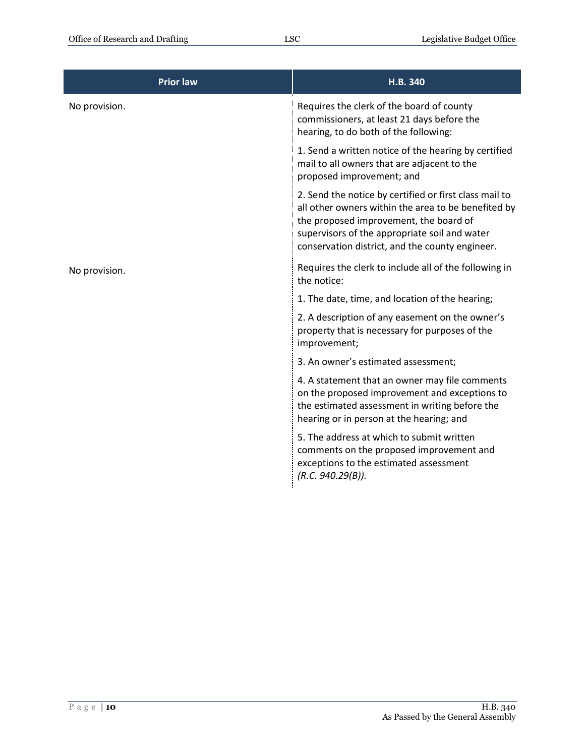| <b>Prior law</b> | H.B. 340                                                                                                                                                                                                                                                    |
|------------------|-------------------------------------------------------------------------------------------------------------------------------------------------------------------------------------------------------------------------------------------------------------|
| No provision.    | Requires the clerk of the board of county<br>commissioners, at least 21 days before the<br>hearing, to do both of the following:                                                                                                                            |
|                  | 1. Send a written notice of the hearing by certified<br>mail to all owners that are adjacent to the<br>proposed improvement; and                                                                                                                            |
|                  | 2. Send the notice by certified or first class mail to<br>all other owners within the area to be benefited by<br>the proposed improvement, the board of<br>supervisors of the appropriate soil and water<br>conservation district, and the county engineer. |
| No provision.    | Requires the clerk to include all of the following in<br>the notice:                                                                                                                                                                                        |
|                  | 1. The date, time, and location of the hearing;                                                                                                                                                                                                             |
|                  | 2. A description of any easement on the owner's<br>property that is necessary for purposes of the<br>improvement;                                                                                                                                           |
|                  | 3. An owner's estimated assessment;                                                                                                                                                                                                                         |
|                  | 4. A statement that an owner may file comments<br>on the proposed improvement and exceptions to<br>the estimated assessment in writing before the<br>hearing or in person at the hearing; and                                                               |
|                  | 5. The address at which to submit written<br>comments on the proposed improvement and<br>exceptions to the estimated assessment<br>(R.C. 940.29(B)).                                                                                                        |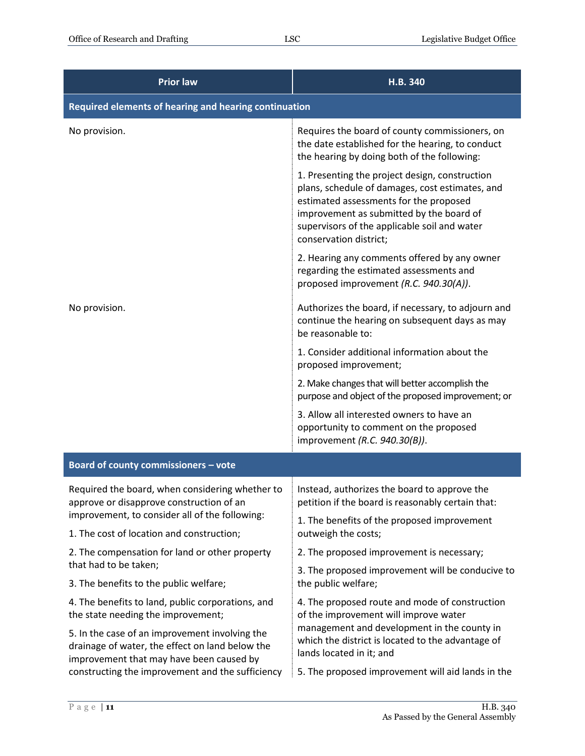| <b>Prior law</b>                                                                                                                                                                                  | H.B. 340                                                                                                                                                                                                                                                          |
|---------------------------------------------------------------------------------------------------------------------------------------------------------------------------------------------------|-------------------------------------------------------------------------------------------------------------------------------------------------------------------------------------------------------------------------------------------------------------------|
| Required elements of hearing and hearing continuation                                                                                                                                             |                                                                                                                                                                                                                                                                   |
| No provision.                                                                                                                                                                                     | Requires the board of county commissioners, on<br>the date established for the hearing, to conduct<br>the hearing by doing both of the following:                                                                                                                 |
|                                                                                                                                                                                                   | 1. Presenting the project design, construction<br>plans, schedule of damages, cost estimates, and<br>estimated assessments for the proposed<br>improvement as submitted by the board of<br>supervisors of the applicable soil and water<br>conservation district; |
|                                                                                                                                                                                                   | 2. Hearing any comments offered by any owner<br>regarding the estimated assessments and<br>proposed improvement (R.C. 940.30(A)).                                                                                                                                 |
| No provision.                                                                                                                                                                                     | Authorizes the board, if necessary, to adjourn and<br>continue the hearing on subsequent days as may<br>be reasonable to:                                                                                                                                         |
|                                                                                                                                                                                                   | 1. Consider additional information about the<br>proposed improvement;                                                                                                                                                                                             |
|                                                                                                                                                                                                   | 2. Make changes that will better accomplish the<br>purpose and object of the proposed improvement; or                                                                                                                                                             |
|                                                                                                                                                                                                   | 3. Allow all interested owners to have an<br>opportunity to comment on the proposed<br>improvement (R.C. 940.30(B)).                                                                                                                                              |
| Board of county commissioners - vote                                                                                                                                                              |                                                                                                                                                                                                                                                                   |
| Required the board, when considering whether to<br>approve or disapprove construction of an<br>improvement, to consider all of the following:<br>1. The cost of location and construction;        | Instead, authorizes the board to approve the<br>petition if the board is reasonably certain that:                                                                                                                                                                 |
|                                                                                                                                                                                                   | 1. The benefits of the proposed improvement<br>outweigh the costs;                                                                                                                                                                                                |
| 2. The compensation for land or other property                                                                                                                                                    | 2. The proposed improvement is necessary;                                                                                                                                                                                                                         |
| that had to be taken;<br>3. The benefits to the public welfare;                                                                                                                                   | 3. The proposed improvement will be conducive to<br>the public welfare;                                                                                                                                                                                           |
| 4. The benefits to land, public corporations, and                                                                                                                                                 | 4. The proposed route and mode of construction                                                                                                                                                                                                                    |
| the state needing the improvement;                                                                                                                                                                | of the improvement will improve water<br>management and development in the county in                                                                                                                                                                              |
| 5. In the case of an improvement involving the<br>drainage of water, the effect on land below the<br>improvement that may have been caused by<br>constructing the improvement and the sufficiency | which the district is located to the advantage of<br>lands located in it; and                                                                                                                                                                                     |
|                                                                                                                                                                                                   | 5. The proposed improvement will aid lands in the                                                                                                                                                                                                                 |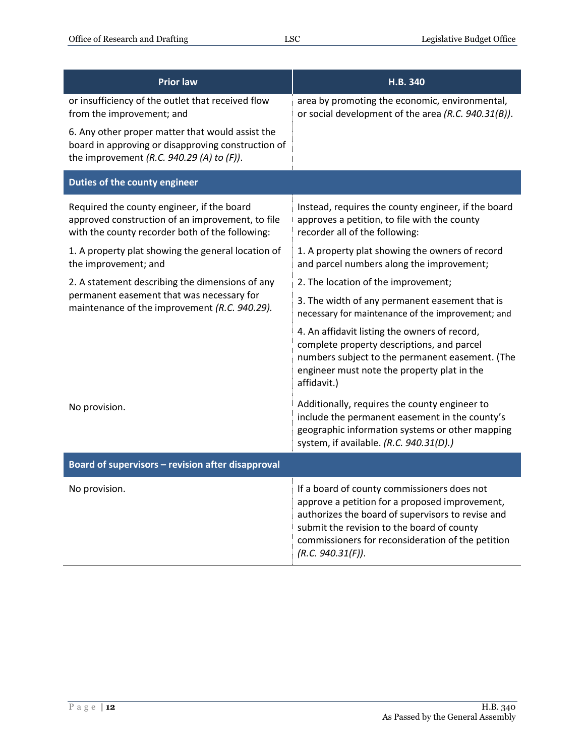| <b>Prior law</b>                                                                                                                                       | H.B. 340                                                                                                                                                                                                                                                                   |
|--------------------------------------------------------------------------------------------------------------------------------------------------------|----------------------------------------------------------------------------------------------------------------------------------------------------------------------------------------------------------------------------------------------------------------------------|
| or insufficiency of the outlet that received flow<br>from the improvement; and                                                                         | area by promoting the economic, environmental,<br>or social development of the area (R.C. 940.31(B)).                                                                                                                                                                      |
| 6. Any other proper matter that would assist the<br>board in approving or disapproving construction of<br>the improvement (R.C. 940.29 (A) to $(F)$ ). |                                                                                                                                                                                                                                                                            |
| Duties of the county engineer                                                                                                                          |                                                                                                                                                                                                                                                                            |
| Required the county engineer, if the board<br>approved construction of an improvement, to file<br>with the county recorder both of the following:      | Instead, requires the county engineer, if the board<br>approves a petition, to file with the county<br>recorder all of the following:                                                                                                                                      |
| 1. A property plat showing the general location of<br>the improvement; and                                                                             | 1. A property plat showing the owners of record<br>and parcel numbers along the improvement;                                                                                                                                                                               |
| 2. A statement describing the dimensions of any<br>permanent easement that was necessary for<br>maintenance of the improvement (R.C. 940.29).          | 2. The location of the improvement;                                                                                                                                                                                                                                        |
|                                                                                                                                                        | 3. The width of any permanent easement that is<br>necessary for maintenance of the improvement; and                                                                                                                                                                        |
|                                                                                                                                                        | 4. An affidavit listing the owners of record,<br>complete property descriptions, and parcel<br>numbers subject to the permanent easement. (The<br>engineer must note the property plat in the<br>affidavit.)                                                               |
| No provision.                                                                                                                                          | Additionally, requires the county engineer to<br>include the permanent easement in the county's<br>geographic information systems or other mapping<br>system, if available. (R.C. 940.31(D).)                                                                              |
| Board of supervisors - revision after disapproval                                                                                                      |                                                                                                                                                                                                                                                                            |
| No provision.                                                                                                                                          | If a board of county commissioners does not<br>approve a petition for a proposed improvement,<br>authorizes the board of supervisors to revise and<br>submit the revision to the board of county<br>commissioners for reconsideration of the petition<br>(R.C. 940.31(F)). |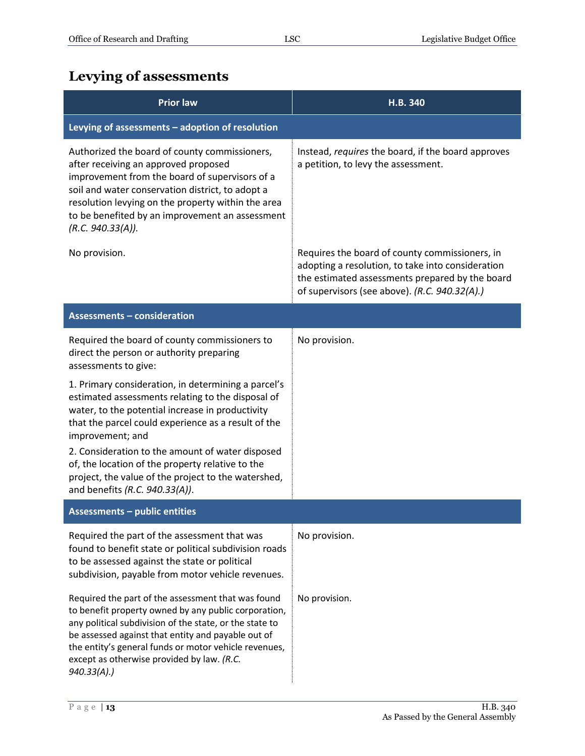### <span id="page-12-0"></span>**Levying of assessments**

| <b>Prior law</b>                                                                                                                                                                                                                                                                                                                                                                                                                                                                                                                                              | H.B. 340                                                                                                                                                                                                |
|---------------------------------------------------------------------------------------------------------------------------------------------------------------------------------------------------------------------------------------------------------------------------------------------------------------------------------------------------------------------------------------------------------------------------------------------------------------------------------------------------------------------------------------------------------------|---------------------------------------------------------------------------------------------------------------------------------------------------------------------------------------------------------|
| Levying of assessments - adoption of resolution                                                                                                                                                                                                                                                                                                                                                                                                                                                                                                               |                                                                                                                                                                                                         |
| Authorized the board of county commissioners,<br>after receiving an approved proposed<br>improvement from the board of supervisors of a<br>soil and water conservation district, to adopt a<br>resolution levying on the property within the area<br>to be benefited by an improvement an assessment<br>(R.C. 940.33(A)).                                                                                                                                                                                                                                     | Instead, requires the board, if the board approves<br>a petition, to levy the assessment.                                                                                                               |
| No provision.                                                                                                                                                                                                                                                                                                                                                                                                                                                                                                                                                 | Requires the board of county commissioners, in<br>adopting a resolution, to take into consideration<br>the estimated assessments prepared by the board<br>of supervisors (see above). (R.C. 940.32(A).) |
| <b>Assessments - consideration</b>                                                                                                                                                                                                                                                                                                                                                                                                                                                                                                                            |                                                                                                                                                                                                         |
| Required the board of county commissioners to<br>direct the person or authority preparing<br>assessments to give:<br>1. Primary consideration, in determining a parcel's<br>estimated assessments relating to the disposal of<br>water, to the potential increase in productivity<br>that the parcel could experience as a result of the<br>improvement; and<br>2. Consideration to the amount of water disposed<br>of, the location of the property relative to the<br>project, the value of the project to the watershed,<br>and benefits (R.C. 940.33(A)). | No provision.                                                                                                                                                                                           |
| <b>Assessments - public entities</b>                                                                                                                                                                                                                                                                                                                                                                                                                                                                                                                          |                                                                                                                                                                                                         |
| Required the part of the assessment that was<br>found to benefit state or political subdivision roads<br>to be assessed against the state or political<br>subdivision, payable from motor vehicle revenues.                                                                                                                                                                                                                                                                                                                                                   | No provision.                                                                                                                                                                                           |
| Required the part of the assessment that was found<br>to benefit property owned by any public corporation,<br>any political subdivision of the state, or the state to<br>be assessed against that entity and payable out of<br>the entity's general funds or motor vehicle revenues,<br>except as otherwise provided by law. (R.C.<br>$940.33(A)$ .)                                                                                                                                                                                                          | No provision.                                                                                                                                                                                           |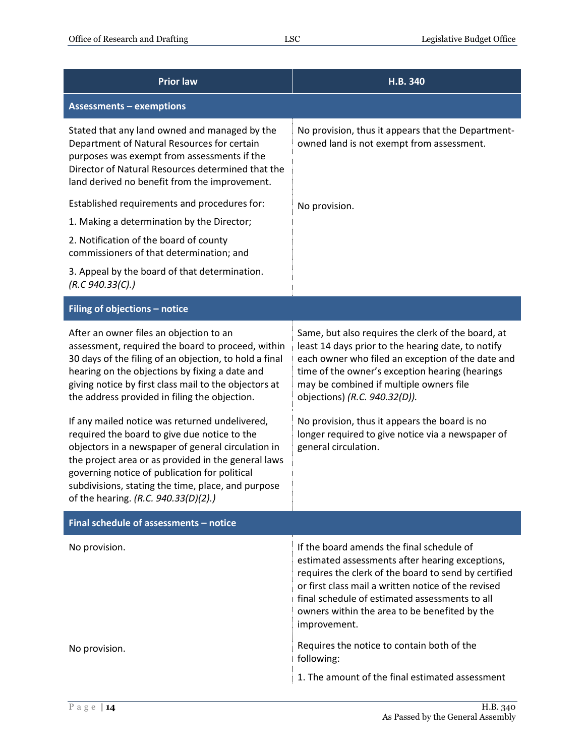| <b>Prior law</b>                                                                                                                                                                                                                                                                                                                                                                                                                                                                                                                                                                                                                                                                 | H.B. 340                                                                                                                                                                                                                                                                                                                                                                                                                   |
|----------------------------------------------------------------------------------------------------------------------------------------------------------------------------------------------------------------------------------------------------------------------------------------------------------------------------------------------------------------------------------------------------------------------------------------------------------------------------------------------------------------------------------------------------------------------------------------------------------------------------------------------------------------------------------|----------------------------------------------------------------------------------------------------------------------------------------------------------------------------------------------------------------------------------------------------------------------------------------------------------------------------------------------------------------------------------------------------------------------------|
| <b>Assessments - exemptions</b>                                                                                                                                                                                                                                                                                                                                                                                                                                                                                                                                                                                                                                                  |                                                                                                                                                                                                                                                                                                                                                                                                                            |
| Stated that any land owned and managed by the<br>Department of Natural Resources for certain<br>purposes was exempt from assessments if the<br>Director of Natural Resources determined that the<br>land derived no benefit from the improvement.                                                                                                                                                                                                                                                                                                                                                                                                                                | No provision, thus it appears that the Department-<br>owned land is not exempt from assessment.                                                                                                                                                                                                                                                                                                                            |
| Established requirements and procedures for:                                                                                                                                                                                                                                                                                                                                                                                                                                                                                                                                                                                                                                     | No provision.                                                                                                                                                                                                                                                                                                                                                                                                              |
| 1. Making a determination by the Director;                                                                                                                                                                                                                                                                                                                                                                                                                                                                                                                                                                                                                                       |                                                                                                                                                                                                                                                                                                                                                                                                                            |
| 2. Notification of the board of county<br>commissioners of that determination; and                                                                                                                                                                                                                                                                                                                                                                                                                                                                                                                                                                                               |                                                                                                                                                                                                                                                                                                                                                                                                                            |
| 3. Appeal by the board of that determination.<br>(R.C.940.33(C).)                                                                                                                                                                                                                                                                                                                                                                                                                                                                                                                                                                                                                |                                                                                                                                                                                                                                                                                                                                                                                                                            |
| Filing of objections - notice                                                                                                                                                                                                                                                                                                                                                                                                                                                                                                                                                                                                                                                    |                                                                                                                                                                                                                                                                                                                                                                                                                            |
| After an owner files an objection to an<br>assessment, required the board to proceed, within<br>30 days of the filing of an objection, to hold a final<br>hearing on the objections by fixing a date and<br>giving notice by first class mail to the objectors at<br>the address provided in filing the objection.<br>If any mailed notice was returned undelivered,<br>required the board to give due notice to the<br>objectors in a newspaper of general circulation in<br>the project area or as provided in the general laws<br>governing notice of publication for political<br>subdivisions, stating the time, place, and purpose<br>of the hearing. (R.C. 940.33(D)(2).) | Same, but also requires the clerk of the board, at<br>least 14 days prior to the hearing date, to notify<br>each owner who filed an exception of the date and<br>time of the owner's exception hearing (hearings<br>may be combined if multiple owners file<br>objections) (R.C. 940.32(D)).<br>No provision, thus it appears the board is no<br>longer required to give notice via a newspaper of<br>general circulation. |
| Final schedule of assessments - notice                                                                                                                                                                                                                                                                                                                                                                                                                                                                                                                                                                                                                                           |                                                                                                                                                                                                                                                                                                                                                                                                                            |
| No provision.                                                                                                                                                                                                                                                                                                                                                                                                                                                                                                                                                                                                                                                                    | If the board amends the final schedule of<br>estimated assessments after hearing exceptions,<br>requires the clerk of the board to send by certified<br>or first class mail a written notice of the revised<br>final schedule of estimated assessments to all<br>owners within the area to be benefited by the<br>improvement.                                                                                             |
| No provision.                                                                                                                                                                                                                                                                                                                                                                                                                                                                                                                                                                                                                                                                    | Requires the notice to contain both of the<br>following:                                                                                                                                                                                                                                                                                                                                                                   |
|                                                                                                                                                                                                                                                                                                                                                                                                                                                                                                                                                                                                                                                                                  | 1. The amount of the final estimated assessment                                                                                                                                                                                                                                                                                                                                                                            |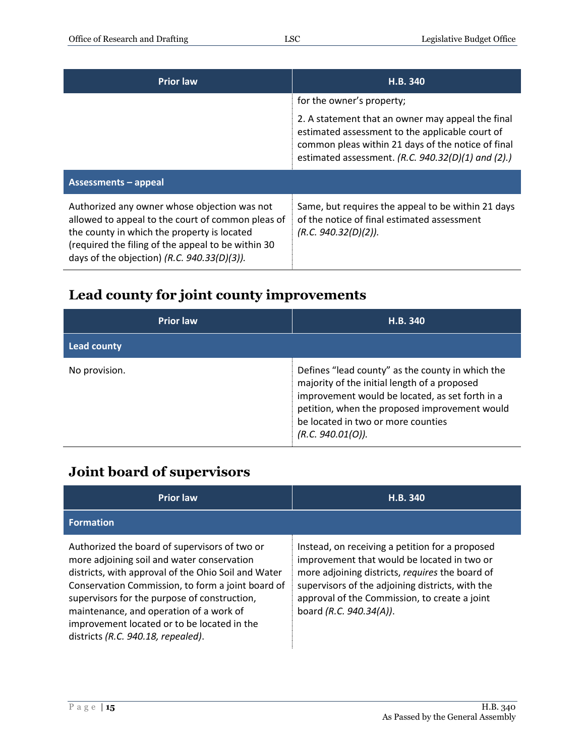| <b>Prior law</b>                                                                                                                                                                                                                                         | H.B. 340                                                                                                                                                                                                           |
|----------------------------------------------------------------------------------------------------------------------------------------------------------------------------------------------------------------------------------------------------------|--------------------------------------------------------------------------------------------------------------------------------------------------------------------------------------------------------------------|
|                                                                                                                                                                                                                                                          | for the owner's property;                                                                                                                                                                                          |
|                                                                                                                                                                                                                                                          | 2. A statement that an owner may appeal the final<br>estimated assessment to the applicable court of<br>common pleas within 21 days of the notice of final<br>estimated assessment. (R.C. $940.32(D)(1)$ and (2).) |
| Assessments - appeal                                                                                                                                                                                                                                     |                                                                                                                                                                                                                    |
| Authorized any owner whose objection was not<br>allowed to appeal to the court of common pleas of<br>the county in which the property is located<br>(required the filing of the appeal to be within 30<br>days of the objection) (R.C. $940.33(D)(3)$ ). | Same, but requires the appeal to be within 21 days<br>of the notice of final estimated assessment<br>(R.C. 940.32(D)(2)).                                                                                          |

## <span id="page-14-0"></span>**Lead county for joint county improvements**

| <b>Prior law</b>   | H.B. 340                                                                                                                                                                                                                                                        |
|--------------------|-----------------------------------------------------------------------------------------------------------------------------------------------------------------------------------------------------------------------------------------------------------------|
| <b>Lead county</b> |                                                                                                                                                                                                                                                                 |
| No provision.      | Defines "lead county" as the county in which the<br>majority of the initial length of a proposed<br>improvement would be located, as set forth in a<br>petition, when the proposed improvement would<br>be located in two or more counties<br>(R.C. 940.01(O)). |

#### <span id="page-14-1"></span>**Joint board of supervisors**

| <b>Prior law</b>                                                                                                                                                                                                                                                                                                                                                                        | H.B. 340                                                                                                                                                                                                                                                                          |
|-----------------------------------------------------------------------------------------------------------------------------------------------------------------------------------------------------------------------------------------------------------------------------------------------------------------------------------------------------------------------------------------|-----------------------------------------------------------------------------------------------------------------------------------------------------------------------------------------------------------------------------------------------------------------------------------|
| <b>Formation</b>                                                                                                                                                                                                                                                                                                                                                                        |                                                                                                                                                                                                                                                                                   |
| Authorized the board of supervisors of two or<br>more adjoining soil and water conservation<br>districts, with approval of the Ohio Soil and Water<br>Conservation Commission, to form a joint board of<br>supervisors for the purpose of construction,<br>maintenance, and operation of a work of<br>improvement located or to be located in the<br>districts (R.C. 940.18, repealed). | Instead, on receiving a petition for a proposed<br>improvement that would be located in two or<br>more adjoining districts, requires the board of<br>supervisors of the adjoining districts, with the<br>approval of the Commission, to create a joint<br>board (R.C. 940.34(A)). |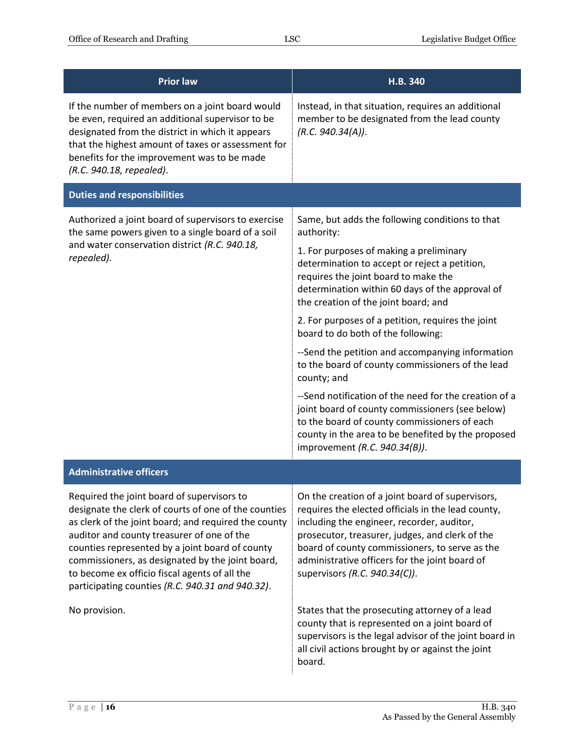| <b>Prior law</b>                                                                                                                                                                                                                                                                                                                                                                                                     | H.B. 340                                                                                                                                                                                                                                                                                                                                     |
|----------------------------------------------------------------------------------------------------------------------------------------------------------------------------------------------------------------------------------------------------------------------------------------------------------------------------------------------------------------------------------------------------------------------|----------------------------------------------------------------------------------------------------------------------------------------------------------------------------------------------------------------------------------------------------------------------------------------------------------------------------------------------|
| If the number of members on a joint board would<br>be even, required an additional supervisor to be<br>designated from the district in which it appears<br>that the highest amount of taxes or assessment for<br>benefits for the improvement was to be made<br>(R.C. 940.18, repealed).                                                                                                                             | Instead, in that situation, requires an additional<br>member to be designated from the lead county<br>(R.C. 940.34(A)).                                                                                                                                                                                                                      |
| <b>Duties and responsibilities</b>                                                                                                                                                                                                                                                                                                                                                                                   |                                                                                                                                                                                                                                                                                                                                              |
| Authorized a joint board of supervisors to exercise<br>the same powers given to a single board of a soil<br>and water conservation district (R.C. 940.18,<br>repealed).                                                                                                                                                                                                                                              | Same, but adds the following conditions to that<br>authority:                                                                                                                                                                                                                                                                                |
|                                                                                                                                                                                                                                                                                                                                                                                                                      | 1. For purposes of making a preliminary<br>determination to accept or reject a petition,<br>requires the joint board to make the<br>determination within 60 days of the approval of<br>the creation of the joint board; and                                                                                                                  |
|                                                                                                                                                                                                                                                                                                                                                                                                                      | 2. For purposes of a petition, requires the joint<br>board to do both of the following:                                                                                                                                                                                                                                                      |
|                                                                                                                                                                                                                                                                                                                                                                                                                      | --Send the petition and accompanying information<br>to the board of county commissioners of the lead<br>county; and                                                                                                                                                                                                                          |
|                                                                                                                                                                                                                                                                                                                                                                                                                      | --Send notification of the need for the creation of a<br>joint board of county commissioners (see below)<br>to the board of county commissioners of each<br>county in the area to be benefited by the proposed<br>improvement (R.C. 940.34(B)).                                                                                              |
| <b>Administrative officers</b>                                                                                                                                                                                                                                                                                                                                                                                       |                                                                                                                                                                                                                                                                                                                                              |
| Required the joint board of supervisors to<br>designate the clerk of courts of one of the counties<br>as clerk of the joint board; and required the county<br>auditor and county treasurer of one of the<br>counties represented by a joint board of county<br>commissioners, as designated by the joint board,<br>to become ex officio fiscal agents of all the<br>participating counties (R.C. 940.31 and 940.32). | On the creation of a joint board of supervisors,<br>requires the elected officials in the lead county,<br>including the engineer, recorder, auditor,<br>prosecutor, treasurer, judges, and clerk of the<br>board of county commissioners, to serve as the<br>administrative officers for the joint board of<br>supervisors (R.C. 940.34(C)). |
| No provision.                                                                                                                                                                                                                                                                                                                                                                                                        | States that the prosecuting attorney of a lead<br>county that is represented on a joint board of<br>supervisors is the legal advisor of the joint board in<br>all civil actions brought by or against the joint<br>board.                                                                                                                    |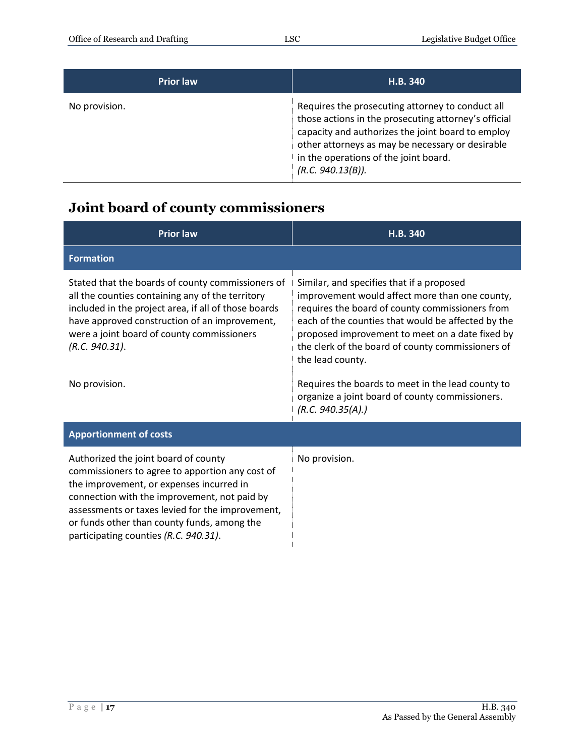| <b>Prior law</b> | H.B. 340                                                                                                                                                                                                                                                                        |
|------------------|---------------------------------------------------------------------------------------------------------------------------------------------------------------------------------------------------------------------------------------------------------------------------------|
| No provision.    | Requires the prosecuting attorney to conduct all<br>those actions in the prosecuting attorney's official<br>capacity and authorizes the joint board to employ<br>other attorneys as may be necessary or desirable<br>in the operations of the joint board.<br>(R.C. 940.13(B)). |

# <span id="page-16-0"></span>**Joint board of county commissioners**

| <b>Prior law</b>                                                                                                                                                                                                                                                                                                                | H.B. 340                                                                                                                                                                                                                                                                                                                                                                                                                                 |
|---------------------------------------------------------------------------------------------------------------------------------------------------------------------------------------------------------------------------------------------------------------------------------------------------------------------------------|------------------------------------------------------------------------------------------------------------------------------------------------------------------------------------------------------------------------------------------------------------------------------------------------------------------------------------------------------------------------------------------------------------------------------------------|
| <b>Formation</b>                                                                                                                                                                                                                                                                                                                |                                                                                                                                                                                                                                                                                                                                                                                                                                          |
| Stated that the boards of county commissioners of<br>all the counties containing any of the territory<br>included in the project area, if all of those boards<br>have approved construction of an improvement,<br>were a joint board of county commissioners<br>(R.C. 940.31).<br>No provision.                                 | Similar, and specifies that if a proposed<br>improvement would affect more than one county,<br>requires the board of county commissioners from<br>each of the counties that would be affected by the<br>proposed improvement to meet on a date fixed by<br>the clerk of the board of county commissioners of<br>the lead county.<br>Requires the boards to meet in the lead county to<br>organize a joint board of county commissioners. |
|                                                                                                                                                                                                                                                                                                                                 | (R.C. 940.35(A))                                                                                                                                                                                                                                                                                                                                                                                                                         |
| <b>Apportionment of costs</b>                                                                                                                                                                                                                                                                                                   |                                                                                                                                                                                                                                                                                                                                                                                                                                          |
| Authorized the joint board of county<br>commissioners to agree to apportion any cost of<br>the improvement, or expenses incurred in<br>connection with the improvement, not paid by<br>assessments or taxes levied for the improvement,<br>or funds other than county funds, among the<br>participating counties (R.C. 940.31). | No provision.                                                                                                                                                                                                                                                                                                                                                                                                                            |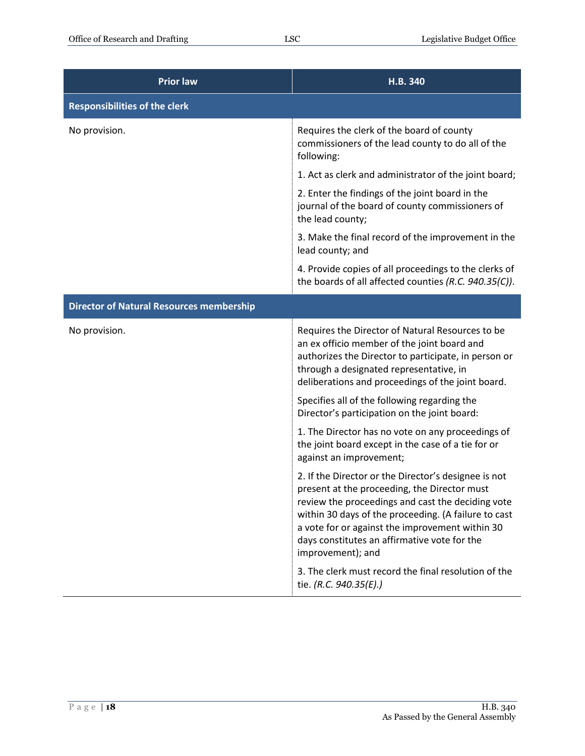| <b>Prior law</b>                                | H.B. 340                                                                                                                                                                                                                                                                                                                                  |
|-------------------------------------------------|-------------------------------------------------------------------------------------------------------------------------------------------------------------------------------------------------------------------------------------------------------------------------------------------------------------------------------------------|
| <b>Responsibilities of the clerk</b>            |                                                                                                                                                                                                                                                                                                                                           |
| No provision.                                   | Requires the clerk of the board of county<br>commissioners of the lead county to do all of the<br>following:                                                                                                                                                                                                                              |
|                                                 | 1. Act as clerk and administrator of the joint board;                                                                                                                                                                                                                                                                                     |
|                                                 | 2. Enter the findings of the joint board in the<br>journal of the board of county commissioners of<br>the lead county;                                                                                                                                                                                                                    |
|                                                 | 3. Make the final record of the improvement in the<br>lead county; and                                                                                                                                                                                                                                                                    |
|                                                 | 4. Provide copies of all proceedings to the clerks of<br>the boards of all affected counties (R.C. 940.35(C)).                                                                                                                                                                                                                            |
| <b>Director of Natural Resources membership</b> |                                                                                                                                                                                                                                                                                                                                           |
| No provision.                                   | Requires the Director of Natural Resources to be<br>an ex officio member of the joint board and<br>authorizes the Director to participate, in person or<br>through a designated representative, in<br>deliberations and proceedings of the joint board.                                                                                   |
|                                                 | Specifies all of the following regarding the<br>Director's participation on the joint board:                                                                                                                                                                                                                                              |
|                                                 | 1. The Director has no vote on any proceedings of<br>the joint board except in the case of a tie for or<br>against an improvement;                                                                                                                                                                                                        |
|                                                 | 2. If the Director or the Director's designee is not<br>present at the proceeding, the Director must<br>review the proceedings and cast the deciding vote<br>within 30 days of the proceeding. (A failure to cast<br>a vote for or against the improvement within 30<br>days constitutes an affirmative vote for the<br>improvement); and |
|                                                 | 3. The clerk must record the final resolution of the<br>tie. (R.C. 940.35(E).)                                                                                                                                                                                                                                                            |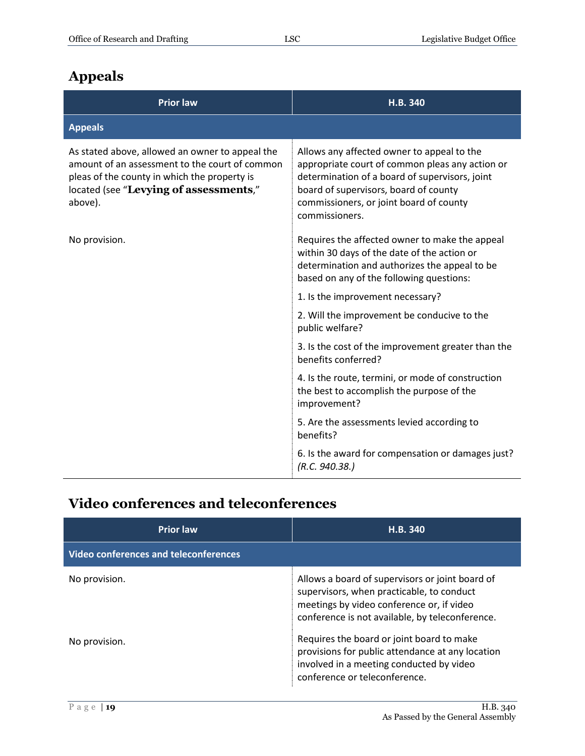## <span id="page-18-0"></span>**Appeals**

| <b>Prior law</b>                                                                                                                                                                                       | H.B. 340                                                                                                                                                                                                                                              |
|--------------------------------------------------------------------------------------------------------------------------------------------------------------------------------------------------------|-------------------------------------------------------------------------------------------------------------------------------------------------------------------------------------------------------------------------------------------------------|
| <b>Appeals</b>                                                                                                                                                                                         |                                                                                                                                                                                                                                                       |
| As stated above, allowed an owner to appeal the<br>amount of an assessment to the court of common<br>pleas of the county in which the property is<br>located (see "Levying of assessments,"<br>above). | Allows any affected owner to appeal to the<br>appropriate court of common pleas any action or<br>determination of a board of supervisors, joint<br>board of supervisors, board of county<br>commissioners, or joint board of county<br>commissioners. |
| No provision.                                                                                                                                                                                          | Requires the affected owner to make the appeal<br>within 30 days of the date of the action or<br>determination and authorizes the appeal to be<br>based on any of the following questions:                                                            |
|                                                                                                                                                                                                        | 1. Is the improvement necessary?                                                                                                                                                                                                                      |
|                                                                                                                                                                                                        | 2. Will the improvement be conducive to the<br>public welfare?                                                                                                                                                                                        |
|                                                                                                                                                                                                        | 3. Is the cost of the improvement greater than the<br>benefits conferred?                                                                                                                                                                             |
|                                                                                                                                                                                                        | 4. Is the route, termini, or mode of construction<br>the best to accomplish the purpose of the<br>improvement?                                                                                                                                        |
|                                                                                                                                                                                                        | 5. Are the assessments levied according to<br>benefits?                                                                                                                                                                                               |
|                                                                                                                                                                                                        | 6. Is the award for compensation or damages just?<br>(R.C. 940.38.)                                                                                                                                                                                   |

## <span id="page-18-1"></span>**Video conferences and teleconferences**

| <b>Prior law</b>                             | H.B. 340                                                                                                                                                                                     |
|----------------------------------------------|----------------------------------------------------------------------------------------------------------------------------------------------------------------------------------------------|
| <b>Video conferences and teleconferences</b> |                                                                                                                                                                                              |
| No provision.                                | Allows a board of supervisors or joint board of<br>supervisors, when practicable, to conduct<br>meetings by video conference or, if video<br>conference is not available, by teleconference. |
| No provision.                                | Requires the board or joint board to make<br>provisions for public attendance at any location<br>involved in a meeting conducted by video<br>conference or teleconference.                   |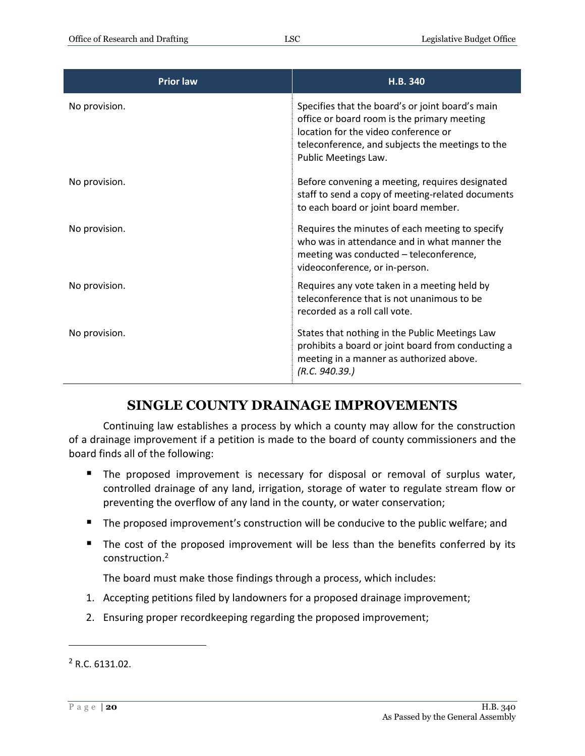| <b>Prior law</b> | H.B. 340                                                                                                                                                                                                            |
|------------------|---------------------------------------------------------------------------------------------------------------------------------------------------------------------------------------------------------------------|
| No provision.    | Specifies that the board's or joint board's main<br>office or board room is the primary meeting<br>location for the video conference or<br>teleconference, and subjects the meetings to the<br>Public Meetings Law. |
| No provision.    | Before convening a meeting, requires designated<br>staff to send a copy of meeting-related documents<br>to each board or joint board member.                                                                        |
| No provision.    | Requires the minutes of each meeting to specify<br>who was in attendance and in what manner the<br>meeting was conducted - teleconference,<br>videoconference, or in-person.                                        |
| No provision.    | Requires any vote taken in a meeting held by<br>teleconference that is not unanimous to be<br>recorded as a roll call vote.                                                                                         |
| No provision.    | States that nothing in the Public Meetings Law<br>prohibits a board or joint board from conducting a<br>meeting in a manner as authorized above.<br>(R.C. 940.39.)                                                  |

#### **SINGLE COUNTY DRAINAGE IMPROVEMENTS**

<span id="page-19-0"></span>Continuing law establishes a process by which a county may allow for the construction of a drainage improvement if a petition is made to the board of county commissioners and the board finds all of the following:

- The proposed improvement is necessary for disposal or removal of surplus water, controlled drainage of any land, irrigation, storage of water to regulate stream flow or preventing the overflow of any land in the county, or water conservation;
- The proposed improvement's construction will be conducive to the public welfare; and
- The cost of the proposed improvement will be less than the benefits conferred by its construction.<sup>2</sup>

The board must make those findings through a process, which includes:

- 1. Accepting petitions filed by landowners for a proposed drainage improvement;
- 2. Ensuring proper recordkeeping regarding the proposed improvement;

 $\overline{a}$ 

<sup>2</sup> R.C. 6131.02.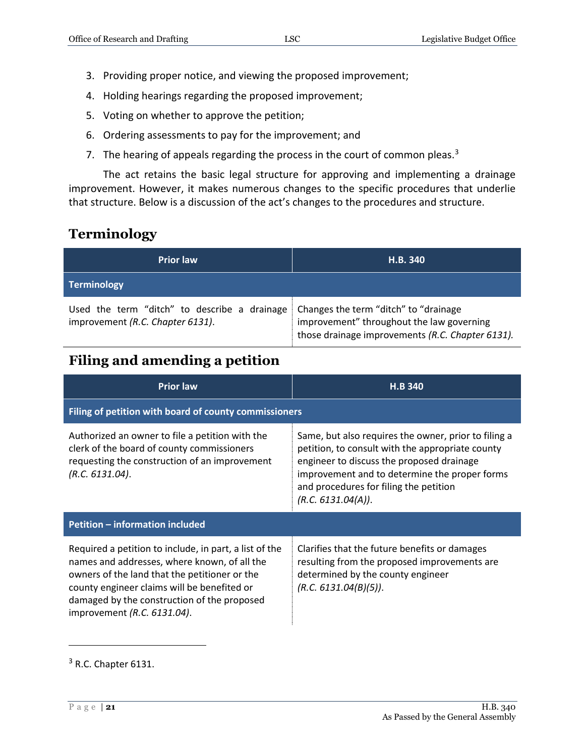- 3. Providing proper notice, and viewing the proposed improvement;
- 4. Holding hearings regarding the proposed improvement;
- 5. Voting on whether to approve the petition;
- 6. Ordering assessments to pay for the improvement; and
- 7. The hearing of appeals regarding the process in the court of common pleas. $3$

The act retains the basic legal structure for approving and implementing a drainage improvement. However, it makes numerous changes to the specific procedures that underlie that structure. Below is a discussion of the act's changes to the procedures and structure.

#### <span id="page-20-0"></span>**Terminology**

| <b>Prior law</b>                                                                 | H.B. 340                                                                                                                               |
|----------------------------------------------------------------------------------|----------------------------------------------------------------------------------------------------------------------------------------|
| <b>Terminology</b>                                                               |                                                                                                                                        |
| Used the term "ditch" to describe a drainage<br>improvement (R.C. Chapter 6131). | Changes the term "ditch" to "drainage<br>improvement" throughout the law governing<br>those drainage improvements (R.C. Chapter 6131). |

#### <span id="page-20-1"></span>**Filing and amending a petition**

| <b>Prior law</b>                                                                                                                                                                                                                                                                     | <b>H.B 340</b>                                                                                                                                                                                                                                                         |  |
|--------------------------------------------------------------------------------------------------------------------------------------------------------------------------------------------------------------------------------------------------------------------------------------|------------------------------------------------------------------------------------------------------------------------------------------------------------------------------------------------------------------------------------------------------------------------|--|
| Filing of petition with board of county commissioners                                                                                                                                                                                                                                |                                                                                                                                                                                                                                                                        |  |
| Authorized an owner to file a petition with the<br>clerk of the board of county commissioners<br>requesting the construction of an improvement<br>(R.C. 6131.04).                                                                                                                    | Same, but also requires the owner, prior to filing a<br>petition, to consult with the appropriate county<br>engineer to discuss the proposed drainage<br>improvement and to determine the proper forms<br>and procedures for filing the petition<br>(R.C. 6131.04(A)). |  |
| Petition - information included                                                                                                                                                                                                                                                      |                                                                                                                                                                                                                                                                        |  |
| Required a petition to include, in part, a list of the<br>names and addresses, where known, of all the<br>owners of the land that the petitioner or the<br>county engineer claims will be benefited or<br>damaged by the construction of the proposed<br>improvement (R.C. 6131.04). | Clarifies that the future benefits or damages<br>resulting from the proposed improvements are<br>determined by the county engineer<br>(R.C. 6131.04(B)(5)).                                                                                                            |  |

 $3$  R.C. Chapter 6131.

 $\overline{a}$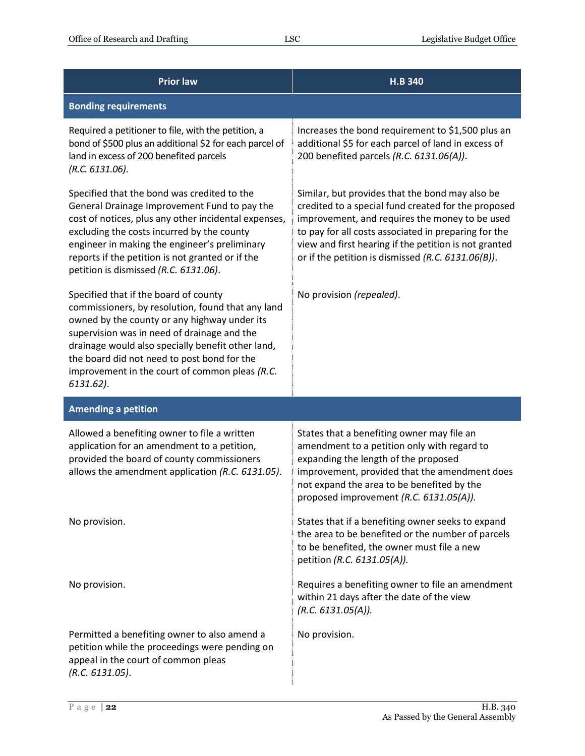| <b>Prior law</b>                                                                                                                                                                                                                                                                                                                                             | H.B 340                                                                                                                                                                                                                                                                                                                         |
|--------------------------------------------------------------------------------------------------------------------------------------------------------------------------------------------------------------------------------------------------------------------------------------------------------------------------------------------------------------|---------------------------------------------------------------------------------------------------------------------------------------------------------------------------------------------------------------------------------------------------------------------------------------------------------------------------------|
| <b>Bonding requirements</b>                                                                                                                                                                                                                                                                                                                                  |                                                                                                                                                                                                                                                                                                                                 |
| Required a petitioner to file, with the petition, a<br>bond of \$500 plus an additional \$2 for each parcel of<br>land in excess of 200 benefited parcels<br>(R.C. 6131.06).                                                                                                                                                                                 | Increases the bond requirement to \$1,500 plus an<br>additional \$5 for each parcel of land in excess of<br>200 benefited parcels (R.C. 6131.06(A)).                                                                                                                                                                            |
| Specified that the bond was credited to the<br>General Drainage Improvement Fund to pay the<br>cost of notices, plus any other incidental expenses,<br>excluding the costs incurred by the county<br>engineer in making the engineer's preliminary<br>reports if the petition is not granted or if the<br>petition is dismissed (R.C. 6131.06).              | Similar, but provides that the bond may also be<br>credited to a special fund created for the proposed<br>improvement, and requires the money to be used<br>to pay for all costs associated in preparing for the<br>view and first hearing if the petition is not granted<br>or if the petition is dismissed (R.C. 6131.06(B)). |
| Specified that if the board of county<br>commissioners, by resolution, found that any land<br>owned by the county or any highway under its<br>supervision was in need of drainage and the<br>drainage would also specially benefit other land,<br>the board did not need to post bond for the<br>improvement in the court of common pleas (R.C.<br>6131.62). | No provision (repealed).                                                                                                                                                                                                                                                                                                        |
| <b>Amending a petition</b>                                                                                                                                                                                                                                                                                                                                   |                                                                                                                                                                                                                                                                                                                                 |
| Allowed a benefiting owner to file a written<br>application for an amendment to a petition,<br>provided the board of county commissioners<br>allows the amendment application (R.C. 6131.05).                                                                                                                                                                | States that a benefiting owner may file an<br>amendment to a petition only with regard to<br>expanding the length of the proposed<br>improvement, provided that the amendment does<br>not expand the area to be benefited by the<br>proposed improvement (R.C. 6131.05(A)).                                                     |
| No provision.                                                                                                                                                                                                                                                                                                                                                | States that if a benefiting owner seeks to expand<br>the area to be benefited or the number of parcels<br>to be benefited, the owner must file a new<br>petition (R.C. 6131.05(A)).                                                                                                                                             |
| No provision.                                                                                                                                                                                                                                                                                                                                                | Requires a benefiting owner to file an amendment<br>within 21 days after the date of the view<br>(R.C. 6131.05(A)).                                                                                                                                                                                                             |
| Permitted a benefiting owner to also amend a<br>petition while the proceedings were pending on<br>appeal in the court of common pleas<br>(R.C. 6131.05).                                                                                                                                                                                                     | No provision.                                                                                                                                                                                                                                                                                                                   |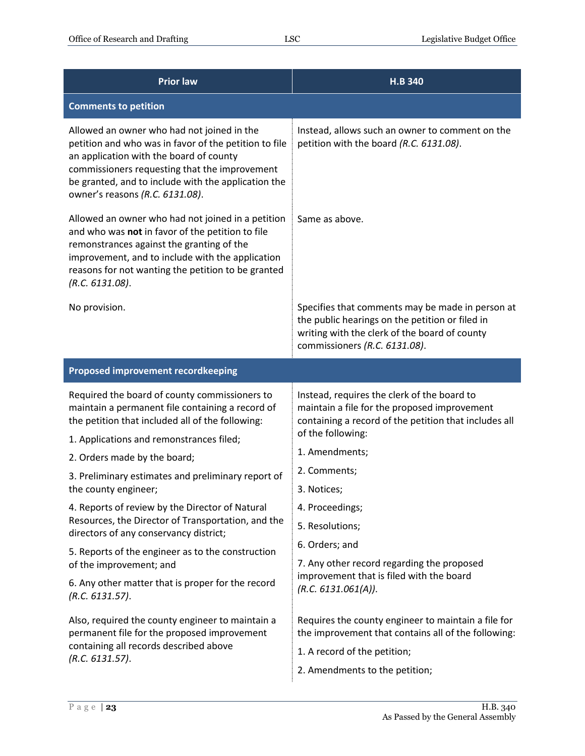| <b>Prior law</b>                                                                                                                                                                                                                                                                          | <b>H.B 340</b>                                                                                                                                                                                              |
|-------------------------------------------------------------------------------------------------------------------------------------------------------------------------------------------------------------------------------------------------------------------------------------------|-------------------------------------------------------------------------------------------------------------------------------------------------------------------------------------------------------------|
| <b>Comments to petition</b>                                                                                                                                                                                                                                                               |                                                                                                                                                                                                             |
| Allowed an owner who had not joined in the<br>petition and who was in favor of the petition to file<br>an application with the board of county<br>commissioners requesting that the improvement<br>be granted, and to include with the application the<br>owner's reasons (R.C. 6131.08). | Instead, allows such an owner to comment on the<br>petition with the board (R.C. 6131.08).                                                                                                                  |
| Allowed an owner who had not joined in a petition<br>and who was not in favor of the petition to file<br>remonstrances against the granting of the<br>improvement, and to include with the application<br>reasons for not wanting the petition to be granted<br>(R.C. 6131.08).           | Same as above.                                                                                                                                                                                              |
| No provision.                                                                                                                                                                                                                                                                             | Specifies that comments may be made in person at<br>the public hearings on the petition or filed in<br>writing with the clerk of the board of county<br>commissioners (R.C. 6131.08).                       |
| <b>Proposed improvement recordkeeping</b>                                                                                                                                                                                                                                                 |                                                                                                                                                                                                             |
| Required the board of county commissioners to<br>maintain a permanent file containing a record of<br>the petition that included all of the following:<br>1. Applications and remonstrances filed;<br>2. Orders made by the board;<br>3. Preliminary estimates and preliminary report of   | Instead, requires the clerk of the board to<br>maintain a file for the proposed improvement<br>containing a record of the petition that includes all<br>of the following:<br>1. Amendments;<br>2. Comments; |
| the county engineer;                                                                                                                                                                                                                                                                      | 3. Notices;                                                                                                                                                                                                 |
| 4. Reports of review by the Director of Natural<br>Resources, the Director of Transportation, and the<br>directors of any conservancy district;                                                                                                                                           | 4. Proceedings;<br>5. Resolutions;                                                                                                                                                                          |
| 5. Reports of the engineer as to the construction<br>of the improvement; and                                                                                                                                                                                                              | 6. Orders; and<br>7. Any other record regarding the proposed                                                                                                                                                |
| 6. Any other matter that is proper for the record<br>(R.C. 6131.57).                                                                                                                                                                                                                      | improvement that is filed with the board<br>(R.C. 6131.061(A)).                                                                                                                                             |
| Also, required the county engineer to maintain a<br>permanent file for the proposed improvement<br>containing all records described above<br>(R.C. 6131.57).                                                                                                                              | Requires the county engineer to maintain a file for<br>the improvement that contains all of the following:<br>1. A record of the petition;<br>2. Amendments to the petition;                                |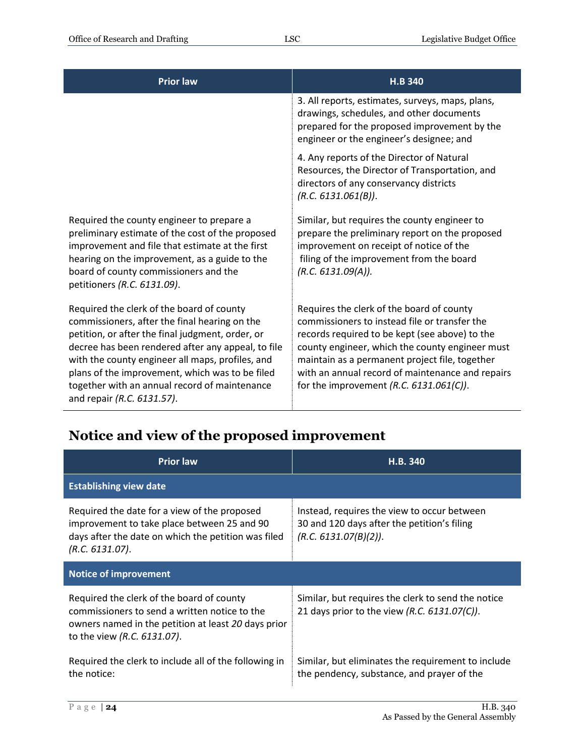| <b>Prior law</b>                                                                                                                                                                                                                                                                                                                                                                           | H.B 340                                                                                                                                                                                                                                                                                                                                            |
|--------------------------------------------------------------------------------------------------------------------------------------------------------------------------------------------------------------------------------------------------------------------------------------------------------------------------------------------------------------------------------------------|----------------------------------------------------------------------------------------------------------------------------------------------------------------------------------------------------------------------------------------------------------------------------------------------------------------------------------------------------|
|                                                                                                                                                                                                                                                                                                                                                                                            | 3. All reports, estimates, surveys, maps, plans,<br>drawings, schedules, and other documents<br>prepared for the proposed improvement by the<br>engineer or the engineer's designee; and                                                                                                                                                           |
|                                                                                                                                                                                                                                                                                                                                                                                            | 4. Any reports of the Director of Natural<br>Resources, the Director of Transportation, and<br>directors of any conservancy districts<br>(R.C. 6131.061(B)).                                                                                                                                                                                       |
| Required the county engineer to prepare a<br>preliminary estimate of the cost of the proposed<br>improvement and file that estimate at the first<br>hearing on the improvement, as a guide to the<br>board of county commissioners and the<br>petitioners (R.C. 6131.09).                                                                                                                  | Similar, but requires the county engineer to<br>prepare the preliminary report on the proposed<br>improvement on receipt of notice of the<br>filing of the improvement from the board<br>(R.C. 6131.09(A)).                                                                                                                                        |
| Required the clerk of the board of county<br>commissioners, after the final hearing on the<br>petition, or after the final judgment, order, or<br>decree has been rendered after any appeal, to file<br>with the county engineer all maps, profiles, and<br>plans of the improvement, which was to be filed<br>together with an annual record of maintenance<br>and repair (R.C. 6131.57). | Requires the clerk of the board of county<br>commissioners to instead file or transfer the<br>records required to be kept (see above) to the<br>county engineer, which the county engineer must<br>maintain as a permanent project file, together<br>with an annual record of maintenance and repairs<br>for the improvement $(R.C. 6131.061(C)).$ |

# <span id="page-23-0"></span>**Notice and view of the proposed improvement**

| <b>Prior law</b>                                                                                                                                                                 | H.B. 340                                                                                                            |  |
|----------------------------------------------------------------------------------------------------------------------------------------------------------------------------------|---------------------------------------------------------------------------------------------------------------------|--|
| <b>Establishing view date</b>                                                                                                                                                    |                                                                                                                     |  |
| Required the date for a view of the proposed<br>improvement to take place between 25 and 90<br>days after the date on which the petition was filed<br>(R.C. 6131.07).            | Instead, requires the view to occur between<br>30 and 120 days after the petition's filing<br>(R.C. 6131.07(B)(2)). |  |
| <b>Notice of improvement</b>                                                                                                                                                     |                                                                                                                     |  |
| Required the clerk of the board of county<br>commissioners to send a written notice to the<br>owners named in the petition at least 20 days prior<br>to the view (R.C. 6131.07). | Similar, but requires the clerk to send the notice<br>21 days prior to the view (R.C. 6131.07(C)).                  |  |
| Required the clerk to include all of the following in<br>the notice:                                                                                                             | Similar, but eliminates the requirement to include<br>the pendency, substance, and prayer of the                    |  |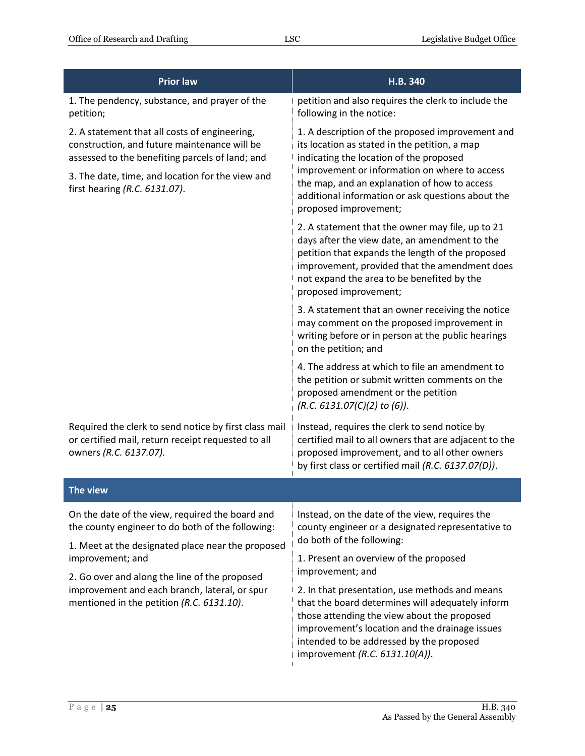| <b>Prior law</b>                                                                                                                                                                                                                                                                                                            | H.B. 340                                                                                                                                                                                                                                                                                                                    |
|-----------------------------------------------------------------------------------------------------------------------------------------------------------------------------------------------------------------------------------------------------------------------------------------------------------------------------|-----------------------------------------------------------------------------------------------------------------------------------------------------------------------------------------------------------------------------------------------------------------------------------------------------------------------------|
| 1. The pendency, substance, and prayer of the<br>petition;                                                                                                                                                                                                                                                                  | petition and also requires the clerk to include the<br>following in the notice:                                                                                                                                                                                                                                             |
| 2. A statement that all costs of engineering,<br>construction, and future maintenance will be<br>assessed to the benefiting parcels of land; and<br>3. The date, time, and location for the view and<br>first hearing (R.C. 6131.07).                                                                                       | 1. A description of the proposed improvement and<br>its location as stated in the petition, a map<br>indicating the location of the proposed<br>improvement or information on where to access<br>the map, and an explanation of how to access<br>additional information or ask questions about the<br>proposed improvement; |
|                                                                                                                                                                                                                                                                                                                             | 2. A statement that the owner may file, up to 21<br>days after the view date, an amendment to the<br>petition that expands the length of the proposed<br>improvement, provided that the amendment does<br>not expand the area to be benefited by the<br>proposed improvement;                                               |
|                                                                                                                                                                                                                                                                                                                             | 3. A statement that an owner receiving the notice<br>may comment on the proposed improvement in<br>writing before or in person at the public hearings<br>on the petition; and                                                                                                                                               |
|                                                                                                                                                                                                                                                                                                                             | 4. The address at which to file an amendment to<br>the petition or submit written comments on the<br>proposed amendment or the petition<br>$(R.C. 6131.07(C)(2)$ to (6)).                                                                                                                                                   |
| Required the clerk to send notice by first class mail<br>or certified mail, return receipt requested to all<br>owners (R.C. 6137.07).                                                                                                                                                                                       | Instead, requires the clerk to send notice by<br>certified mail to all owners that are adjacent to the<br>proposed improvement, and to all other owners<br>by first class or certified mail (R.C. 6137.07(D)).                                                                                                              |
| The view                                                                                                                                                                                                                                                                                                                    |                                                                                                                                                                                                                                                                                                                             |
| On the date of the view, required the board and<br>the county engineer to do both of the following:<br>1. Meet at the designated place near the proposed<br>improvement; and<br>2. Go over and along the line of the proposed<br>improvement and each branch, lateral, or spur<br>mentioned in the petition (R.C. 6131.10). | Instead, on the date of the view, requires the<br>county engineer or a designated representative to<br>do both of the following:                                                                                                                                                                                            |
|                                                                                                                                                                                                                                                                                                                             | 1. Present an overview of the proposed                                                                                                                                                                                                                                                                                      |
|                                                                                                                                                                                                                                                                                                                             | improvement; and<br>2. In that presentation, use methods and means<br>that the board determines will adequately inform<br>those attending the view about the proposed<br>improvement's location and the drainage issues<br>intended to be addressed by the proposed<br>improvement (R.C. 6131.10(A)).                       |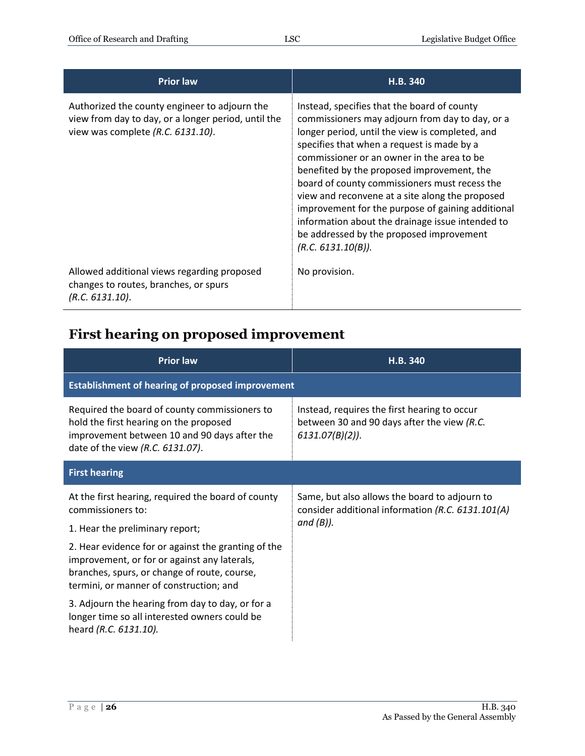| <b>Prior law</b>                                                                                                                          | H.B. 340                                                                                                                                                                                                                                                                                                                                                                                                                                                                                                                                                                   |
|-------------------------------------------------------------------------------------------------------------------------------------------|----------------------------------------------------------------------------------------------------------------------------------------------------------------------------------------------------------------------------------------------------------------------------------------------------------------------------------------------------------------------------------------------------------------------------------------------------------------------------------------------------------------------------------------------------------------------------|
| Authorized the county engineer to adjourn the<br>view from day to day, or a longer period, until the<br>view was complete (R.C. 6131.10). | Instead, specifies that the board of county<br>commissioners may adjourn from day to day, or a<br>longer period, until the view is completed, and<br>specifies that when a request is made by a<br>commissioner or an owner in the area to be<br>benefited by the proposed improvement, the<br>board of county commissioners must recess the<br>view and reconvene at a site along the proposed<br>improvement for the purpose of gaining additional<br>information about the drainage issue intended to<br>be addressed by the proposed improvement<br>(R.C. 6131.10(B)). |
| Allowed additional views regarding proposed<br>changes to routes, branches, or spurs<br>(R.C. 6131.10).                                   | No provision.                                                                                                                                                                                                                                                                                                                                                                                                                                                                                                                                                              |

# <span id="page-25-0"></span>**First hearing on proposed improvement**

| <b>Prior law</b>                                                                                                                                                                               | H.B. 340                                                                                                          |  |
|------------------------------------------------------------------------------------------------------------------------------------------------------------------------------------------------|-------------------------------------------------------------------------------------------------------------------|--|
| <b>Establishment of hearing of proposed improvement</b>                                                                                                                                        |                                                                                                                   |  |
| Required the board of county commissioners to<br>hold the first hearing on the proposed<br>improvement between 10 and 90 days after the<br>date of the view (R.C. 6131.07).                    | Instead, requires the first hearing to occur<br>between 30 and 90 days after the view (R.C.<br>$6131.07(B)(2)$ ). |  |
| <b>First hearing</b>                                                                                                                                                                           |                                                                                                                   |  |
| At the first hearing, required the board of county<br>commissioners to:                                                                                                                        | Same, but also allows the board to adjourn to<br>consider additional information (R.C. 6131.101(A)                |  |
| 1. Hear the preliminary report;                                                                                                                                                                | and $(B)$ ).                                                                                                      |  |
| 2. Hear evidence for or against the granting of the<br>improvement, or for or against any laterals,<br>branches, spurs, or change of route, course,<br>termini, or manner of construction; and |                                                                                                                   |  |
| 3. Adjourn the hearing from day to day, or for a<br>longer time so all interested owners could be<br>heard (R.C. 6131.10).                                                                     |                                                                                                                   |  |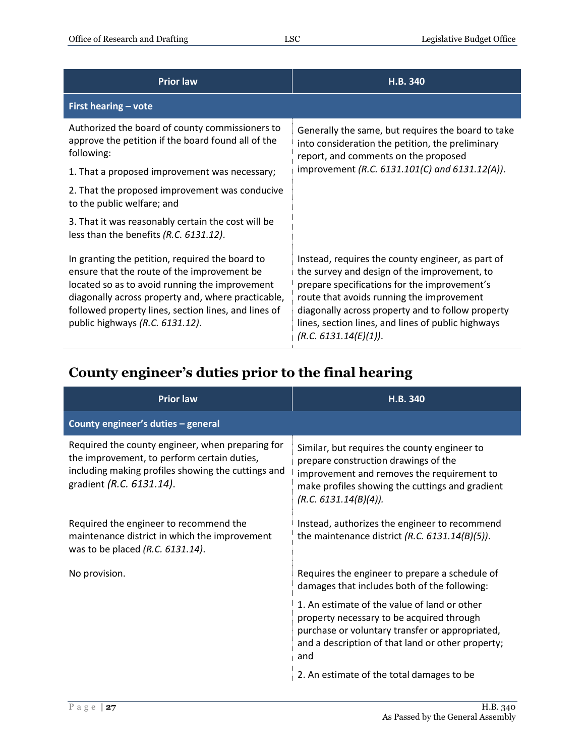| <b>Prior law</b>                                                                                                                                                                                                                                                                                  | H.B. 340                                                                                                                                                                                                                                                                                                                           |
|---------------------------------------------------------------------------------------------------------------------------------------------------------------------------------------------------------------------------------------------------------------------------------------------------|------------------------------------------------------------------------------------------------------------------------------------------------------------------------------------------------------------------------------------------------------------------------------------------------------------------------------------|
| First hearing - vote                                                                                                                                                                                                                                                                              |                                                                                                                                                                                                                                                                                                                                    |
| Authorized the board of county commissioners to<br>approve the petition if the board found all of the<br>following:                                                                                                                                                                               | Generally the same, but requires the board to take<br>into consideration the petition, the preliminary<br>report, and comments on the proposed                                                                                                                                                                                     |
| 1. That a proposed improvement was necessary;                                                                                                                                                                                                                                                     | improvement (R.C. 6131.101(C) and 6131.12(A)).                                                                                                                                                                                                                                                                                     |
| 2. That the proposed improvement was conducive<br>to the public welfare; and                                                                                                                                                                                                                      |                                                                                                                                                                                                                                                                                                                                    |
| 3. That it was reasonably certain the cost will be<br>less than the benefits (R.C. 6131.12).                                                                                                                                                                                                      |                                                                                                                                                                                                                                                                                                                                    |
| In granting the petition, required the board to<br>ensure that the route of the improvement be<br>located so as to avoid running the improvement<br>diagonally across property and, where practicable,<br>followed property lines, section lines, and lines of<br>public highways (R.C. 6131.12). | Instead, requires the county engineer, as part of<br>the survey and design of the improvement, to<br>prepare specifications for the improvement's<br>route that avoids running the improvement<br>diagonally across property and to follow property<br>lines, section lines, and lines of public highways<br>(R.C. 6131.14(E)(1)). |

## <span id="page-26-0"></span>**County engineer's duties prior to the final hearing**

| <b>Prior law</b>                                                                                                                                                                  | H.B. 340                                                                                                                                                                                                       |
|-----------------------------------------------------------------------------------------------------------------------------------------------------------------------------------|----------------------------------------------------------------------------------------------------------------------------------------------------------------------------------------------------------------|
| County engineer's duties - general                                                                                                                                                |                                                                                                                                                                                                                |
| Required the county engineer, when preparing for<br>the improvement, to perform certain duties,<br>including making profiles showing the cuttings and<br>gradient (R.C. 6131.14). | Similar, but requires the county engineer to<br>prepare construction drawings of the<br>improvement and removes the requirement to<br>make profiles showing the cuttings and gradient<br>(R.C. 6131.14(B)(4)). |
| Required the engineer to recommend the<br>maintenance district in which the improvement<br>was to be placed $(R.C. 6131.14)$ .                                                    | Instead, authorizes the engineer to recommend<br>the maintenance district (R.C. $6131.14(B)(5)$ ).                                                                                                             |
| No provision.                                                                                                                                                                     | Requires the engineer to prepare a schedule of<br>damages that includes both of the following:                                                                                                                 |
|                                                                                                                                                                                   | 1. An estimate of the value of land or other<br>property necessary to be acquired through<br>purchase or voluntary transfer or appropriated,<br>and a description of that land or other property;<br>and       |
|                                                                                                                                                                                   | 2. An estimate of the total damages to be                                                                                                                                                                      |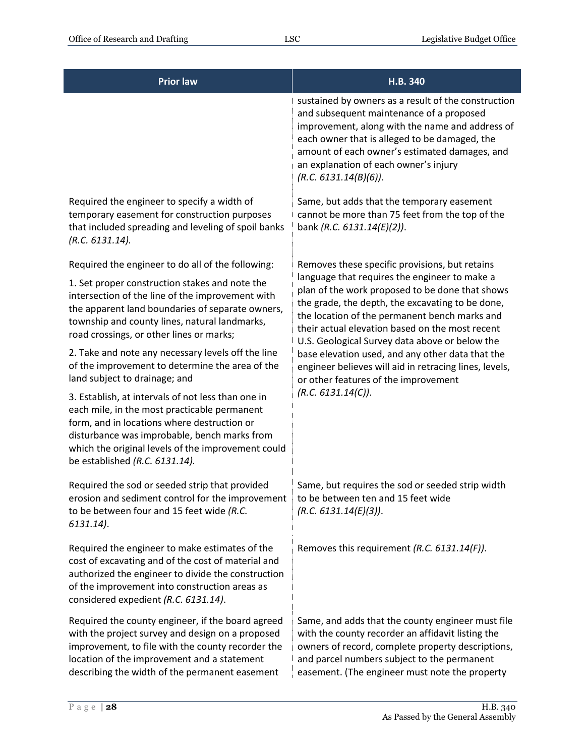| <b>Prior law</b>                                                                                                                                                                                                                                                                          | H.B. 340                                                                                                                                                                                                                                                                                                               |
|-------------------------------------------------------------------------------------------------------------------------------------------------------------------------------------------------------------------------------------------------------------------------------------------|------------------------------------------------------------------------------------------------------------------------------------------------------------------------------------------------------------------------------------------------------------------------------------------------------------------------|
|                                                                                                                                                                                                                                                                                           | sustained by owners as a result of the construction<br>and subsequent maintenance of a proposed<br>improvement, along with the name and address of<br>each owner that is alleged to be damaged, the<br>amount of each owner's estimated damages, and<br>an explanation of each owner's injury<br>(R.C. 6131.14(B)(6)). |
| Required the engineer to specify a width of<br>temporary easement for construction purposes<br>that included spreading and leveling of spoil banks<br>(R.C. 6131.14).                                                                                                                     | Same, but adds that the temporary easement<br>cannot be more than 75 feet from the top of the<br>bank (R.C. 6131.14(E)(2)).                                                                                                                                                                                            |
| Required the engineer to do all of the following:                                                                                                                                                                                                                                         | Removes these specific provisions, but retains                                                                                                                                                                                                                                                                         |
| 1. Set proper construction stakes and note the<br>intersection of the line of the improvement with<br>the apparent land boundaries of separate owners,<br>township and county lines, natural landmarks,<br>road crossings, or other lines or marks;                                       | language that requires the engineer to make a<br>plan of the work proposed to be done that shows<br>the grade, the depth, the excavating to be done,<br>the location of the permanent bench marks and<br>their actual elevation based on the most recent<br>U.S. Geological Survey data above or below the             |
| 2. Take and note any necessary levels off the line<br>of the improvement to determine the area of the<br>land subject to drainage; and                                                                                                                                                    | base elevation used, and any other data that the<br>engineer believes will aid in retracing lines, levels,<br>or other features of the improvement                                                                                                                                                                     |
| 3. Establish, at intervals of not less than one in<br>each mile, in the most practicable permanent<br>form, and in locations where destruction or<br>disturbance was improbable, bench marks from<br>which the original levels of the improvement could<br>be established (R.C. 6131.14). | (R.C. 6131.14(C)).                                                                                                                                                                                                                                                                                                     |
| Required the sod or seeded strip that provided<br>erosion and sediment control for the improvement<br>to be between four and 15 feet wide (R.C.<br>6131.14).                                                                                                                              | Same, but requires the sod or seeded strip width<br>to be between ten and 15 feet wide<br>(R.C. 6131.14(E)(3)).                                                                                                                                                                                                        |
| Required the engineer to make estimates of the<br>cost of excavating and of the cost of material and<br>authorized the engineer to divide the construction<br>of the improvement into construction areas as<br>considered expedient (R.C. 6131.14).                                       | Removes this requirement (R.C. 6131.14(F)).                                                                                                                                                                                                                                                                            |
| Required the county engineer, if the board agreed<br>with the project survey and design on a proposed<br>improvement, to file with the county recorder the<br>location of the improvement and a statement<br>describing the width of the permanent easement                               | Same, and adds that the county engineer must file<br>with the county recorder an affidavit listing the<br>owners of record, complete property descriptions,<br>and parcel numbers subject to the permanent<br>easement. (The engineer must note the property                                                           |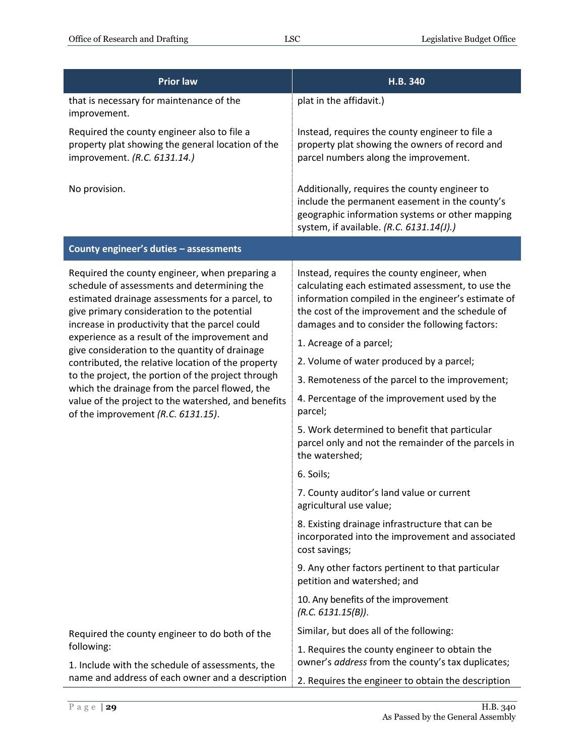| <b>Prior law</b>                                                                                                                                                                                                                                                                                   | H.B. 340                                                                                                                                                                                                                                                    |
|----------------------------------------------------------------------------------------------------------------------------------------------------------------------------------------------------------------------------------------------------------------------------------------------------|-------------------------------------------------------------------------------------------------------------------------------------------------------------------------------------------------------------------------------------------------------------|
| that is necessary for maintenance of the<br>improvement.                                                                                                                                                                                                                                           | plat in the affidavit.)                                                                                                                                                                                                                                     |
| Required the county engineer also to file a<br>property plat showing the general location of the<br>improvement. (R.C. 6131.14.)                                                                                                                                                                   | Instead, requires the county engineer to file a<br>property plat showing the owners of record and<br>parcel numbers along the improvement.                                                                                                                  |
| No provision.                                                                                                                                                                                                                                                                                      | Additionally, requires the county engineer to<br>include the permanent easement in the county's<br>geographic information systems or other mapping<br>system, if available. (R.C. 6131.14(J).)                                                              |
| County engineer's duties - assessments                                                                                                                                                                                                                                                             |                                                                                                                                                                                                                                                             |
| Required the county engineer, when preparing a<br>schedule of assessments and determining the<br>estimated drainage assessments for a parcel, to<br>give primary consideration to the potential<br>increase in productivity that the parcel could<br>experience as a result of the improvement and | Instead, requires the county engineer, when<br>calculating each estimated assessment, to use the<br>information compiled in the engineer's estimate of<br>the cost of the improvement and the schedule of<br>damages and to consider the following factors: |
| give consideration to the quantity of drainage                                                                                                                                                                                                                                                     | 1. Acreage of a parcel;<br>2. Volume of water produced by a parcel;                                                                                                                                                                                         |
| contributed, the relative location of the property<br>to the project, the portion of the project through                                                                                                                                                                                           | 3. Remoteness of the parcel to the improvement;                                                                                                                                                                                                             |
| which the drainage from the parcel flowed, the<br>value of the project to the watershed, and benefits<br>of the improvement (R.C. 6131.15).                                                                                                                                                        | 4. Percentage of the improvement used by the<br>parcel;                                                                                                                                                                                                     |
|                                                                                                                                                                                                                                                                                                    | 5. Work determined to benefit that particular<br>parcel only and not the remainder of the parcels in<br>the watershed;                                                                                                                                      |
|                                                                                                                                                                                                                                                                                                    | 6. Soils;                                                                                                                                                                                                                                                   |
|                                                                                                                                                                                                                                                                                                    | 7. County auditor's land value or current<br>agricultural use value;                                                                                                                                                                                        |
|                                                                                                                                                                                                                                                                                                    | 8. Existing drainage infrastructure that can be<br>incorporated into the improvement and associated<br>cost savings;                                                                                                                                        |
|                                                                                                                                                                                                                                                                                                    | 9. Any other factors pertinent to that particular<br>petition and watershed; and                                                                                                                                                                            |
|                                                                                                                                                                                                                                                                                                    | 10. Any benefits of the improvement<br>(R.C. 6131.15(B)).                                                                                                                                                                                                   |
| Required the county engineer to do both of the                                                                                                                                                                                                                                                     | Similar, but does all of the following:                                                                                                                                                                                                                     |
| following:<br>1. Include with the schedule of assessments, the                                                                                                                                                                                                                                     | 1. Requires the county engineer to obtain the<br>owner's address from the county's tax duplicates;                                                                                                                                                          |
| name and address of each owner and a description                                                                                                                                                                                                                                                   | 2. Requires the engineer to obtain the description                                                                                                                                                                                                          |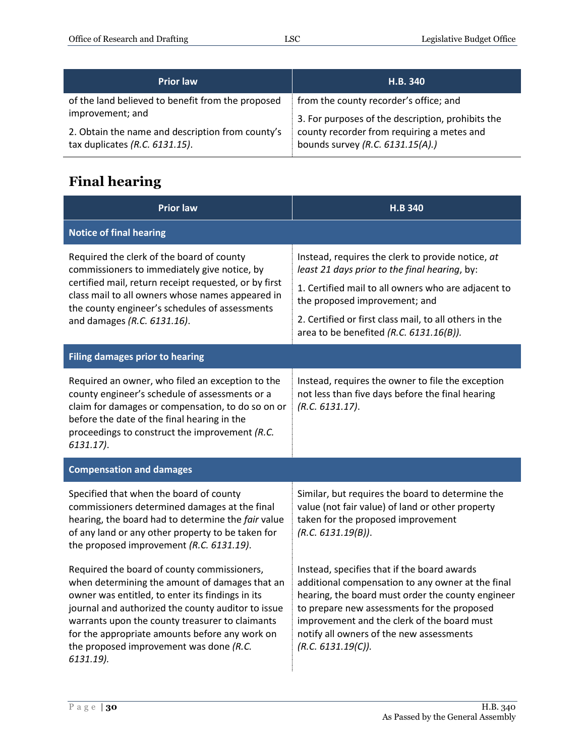| <b>Prior law</b>                                  | H.B. 340                                          |
|---------------------------------------------------|---------------------------------------------------|
| of the land believed to benefit from the proposed | from the county recorder's office; and            |
| improvement; and                                  | 3. For purposes of the description, prohibits the |
| 2. Obtain the name and description from county's  | county recorder from requiring a metes and        |
| tax duplicates $(R.C. 6131.15)$ .                 | bounds survey (R.C. 6131.15(A).)                  |

## <span id="page-29-0"></span>**Final hearing**

| <b>Prior law</b>                                                                                                                                                                                                                                                                                                                                                     | <b>H.B 340</b>                                                                                                                                                                                                                                                                                                        |
|----------------------------------------------------------------------------------------------------------------------------------------------------------------------------------------------------------------------------------------------------------------------------------------------------------------------------------------------------------------------|-----------------------------------------------------------------------------------------------------------------------------------------------------------------------------------------------------------------------------------------------------------------------------------------------------------------------|
| <b>Notice of final hearing</b>                                                                                                                                                                                                                                                                                                                                       |                                                                                                                                                                                                                                                                                                                       |
| Required the clerk of the board of county<br>commissioners to immediately give notice, by<br>certified mail, return receipt requested, or by first                                                                                                                                                                                                                   | Instead, requires the clerk to provide notice, at<br>least 21 days prior to the final hearing, by:<br>1. Certified mail to all owners who are adjacent to                                                                                                                                                             |
| class mail to all owners whose names appeared in<br>the county engineer's schedules of assessments<br>and damages (R.C. 6131.16).                                                                                                                                                                                                                                    | the proposed improvement; and<br>2. Certified or first class mail, to all others in the                                                                                                                                                                                                                               |
|                                                                                                                                                                                                                                                                                                                                                                      | area to be benefited (R.C. 6131.16(B)).                                                                                                                                                                                                                                                                               |
| <b>Filing damages prior to hearing</b>                                                                                                                                                                                                                                                                                                                               |                                                                                                                                                                                                                                                                                                                       |
| Required an owner, who filed an exception to the<br>county engineer's schedule of assessments or a<br>claim for damages or compensation, to do so on or<br>before the date of the final hearing in the<br>proceedings to construct the improvement (R.C.<br>$6131.17$ ).                                                                                             | Instead, requires the owner to file the exception<br>not less than five days before the final hearing<br>(R.C. 6131.17).                                                                                                                                                                                              |
| <b>Compensation and damages</b>                                                                                                                                                                                                                                                                                                                                      |                                                                                                                                                                                                                                                                                                                       |
| Specified that when the board of county<br>commissioners determined damages at the final<br>hearing, the board had to determine the fair value<br>of any land or any other property to be taken for<br>the proposed improvement (R.C. 6131.19).                                                                                                                      | Similar, but requires the board to determine the<br>value (not fair value) of land or other property<br>taken for the proposed improvement<br>(R.C. 6131.19(B)).                                                                                                                                                      |
| Required the board of county commissioners,<br>when determining the amount of damages that an<br>owner was entitled, to enter its findings in its<br>journal and authorized the county auditor to issue<br>warrants upon the county treasurer to claimants<br>for the appropriate amounts before any work on<br>the proposed improvement was done (R.C.<br>6131.19). | Instead, specifies that if the board awards<br>additional compensation to any owner at the final<br>hearing, the board must order the county engineer<br>to prepare new assessments for the proposed<br>improvement and the clerk of the board must<br>notify all owners of the new assessments<br>(R.C. 6131.19(C)). |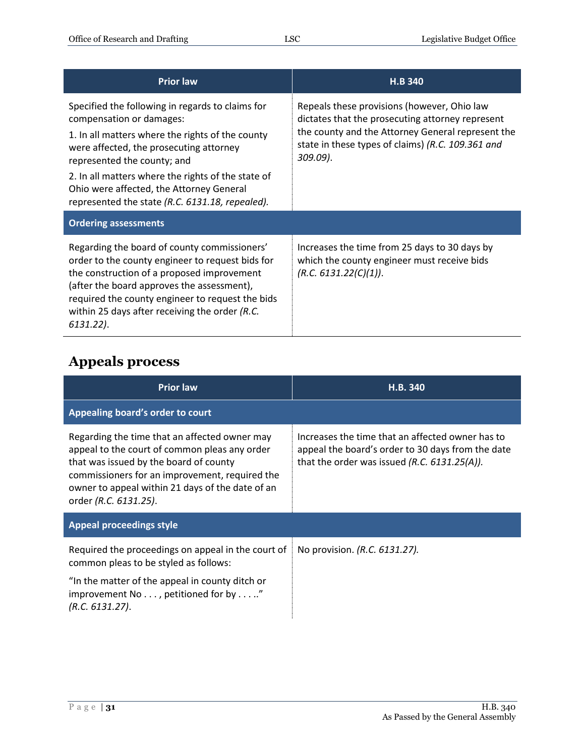| <b>Prior law</b>                                                                                                                                                                                                                                                                                                                                                | H.B 340                                                                                                                                                                                                               |
|-----------------------------------------------------------------------------------------------------------------------------------------------------------------------------------------------------------------------------------------------------------------------------------------------------------------------------------------------------------------|-----------------------------------------------------------------------------------------------------------------------------------------------------------------------------------------------------------------------|
| Specified the following in regards to claims for<br>compensation or damages:<br>1. In all matters where the rights of the county<br>were affected, the prosecuting attorney<br>represented the county; and<br>2. In all matters where the rights of the state of<br>Ohio were affected, the Attorney General<br>represented the state (R.C. 6131.18, repealed). | Repeals these provisions (however, Ohio law<br>dictates that the prosecuting attorney represent<br>the county and the Attorney General represent the<br>state in these types of claims) (R.C. 109.361 and<br>309.09). |
| <b>Ordering assessments</b>                                                                                                                                                                                                                                                                                                                                     |                                                                                                                                                                                                                       |
| Regarding the board of county commissioners'<br>order to the county engineer to request bids for<br>the construction of a proposed improvement<br>(after the board approves the assessment),<br>required the county engineer to request the bids<br>within 25 days after receiving the order $(R.C.$<br>6131.22).                                               | Increases the time from 25 days to 30 days by<br>which the county engineer must receive bids<br>(R.C. 6131.22(C)(1)).                                                                                                 |

# <span id="page-30-0"></span>**Appeals process**

| <b>Prior law</b>                                                                                                                                                                                                                                                        | H.B. 340                                                                                                                                                |  |
|-------------------------------------------------------------------------------------------------------------------------------------------------------------------------------------------------------------------------------------------------------------------------|---------------------------------------------------------------------------------------------------------------------------------------------------------|--|
| Appealing board's order to court                                                                                                                                                                                                                                        |                                                                                                                                                         |  |
| Regarding the time that an affected owner may<br>appeal to the court of common pleas any order<br>that was issued by the board of county<br>commissioners for an improvement, required the<br>owner to appeal within 21 days of the date of an<br>order (R.C. 6131.25). | Increases the time that an affected owner has to<br>appeal the board's order to 30 days from the date<br>that the order was issued $(R.C. 6131.25(A)).$ |  |
| <b>Appeal proceedings style</b>                                                                                                                                                                                                                                         |                                                                                                                                                         |  |
| Required the proceedings on appeal in the court of<br>common pleas to be styled as follows:                                                                                                                                                                             | No provision. (R.C. 6131.27).                                                                                                                           |  |
| "In the matter of the appeal in county ditch or<br>improvement No , petitioned for by."<br>(R.C. 6131.27).                                                                                                                                                              |                                                                                                                                                         |  |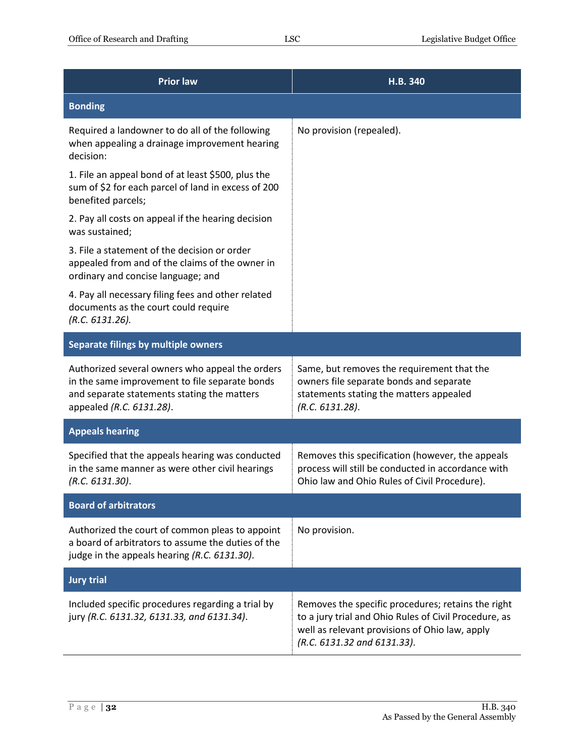| <b>Prior law</b>                                                                                                                                                             | H.B. 340                                                                                                                                                                                     |
|------------------------------------------------------------------------------------------------------------------------------------------------------------------------------|----------------------------------------------------------------------------------------------------------------------------------------------------------------------------------------------|
| <b>Bonding</b>                                                                                                                                                               |                                                                                                                                                                                              |
| Required a landowner to do all of the following<br>when appealing a drainage improvement hearing<br>decision:                                                                | No provision (repealed).                                                                                                                                                                     |
| 1. File an appeal bond of at least \$500, plus the<br>sum of \$2 for each parcel of land in excess of 200<br>benefited parcels;                                              |                                                                                                                                                                                              |
| 2. Pay all costs on appeal if the hearing decision<br>was sustained;                                                                                                         |                                                                                                                                                                                              |
| 3. File a statement of the decision or order<br>appealed from and of the claims of the owner in<br>ordinary and concise language; and                                        |                                                                                                                                                                                              |
| 4. Pay all necessary filing fees and other related<br>documents as the court could require<br>(R.C. 6131.26).                                                                |                                                                                                                                                                                              |
| Separate filings by multiple owners                                                                                                                                          |                                                                                                                                                                                              |
| Authorized several owners who appeal the orders<br>in the same improvement to file separate bonds<br>and separate statements stating the matters<br>appealed (R.C. 6131.28). | Same, but removes the requirement that the<br>owners file separate bonds and separate<br>statements stating the matters appealed<br>(R.C. 6131.28).                                          |
| <b>Appeals hearing</b>                                                                                                                                                       |                                                                                                                                                                                              |
| Specified that the appeals hearing was conducted<br>in the same manner as were other civil hearings<br>(R.C. 6131.30).                                                       | Removes this specification (however, the appeals<br>process will still be conducted in accordance with<br>Ohio law and Ohio Rules of Civil Procedure).                                       |
| <b>Board of arbitrators</b>                                                                                                                                                  |                                                                                                                                                                                              |
| Authorized the court of common pleas to appoint<br>a board of arbitrators to assume the duties of the<br>judge in the appeals hearing (R.C. 6131.30).                        | No provision.                                                                                                                                                                                |
| <b>Jury trial</b>                                                                                                                                                            |                                                                                                                                                                                              |
| Included specific procedures regarding a trial by<br>jury (R.C. 6131.32, 6131.33, and 6131.34).                                                                              | Removes the specific procedures; retains the right<br>to a jury trial and Ohio Rules of Civil Procedure, as<br>well as relevant provisions of Ohio law, apply<br>(R.C. 6131.32 and 6131.33). |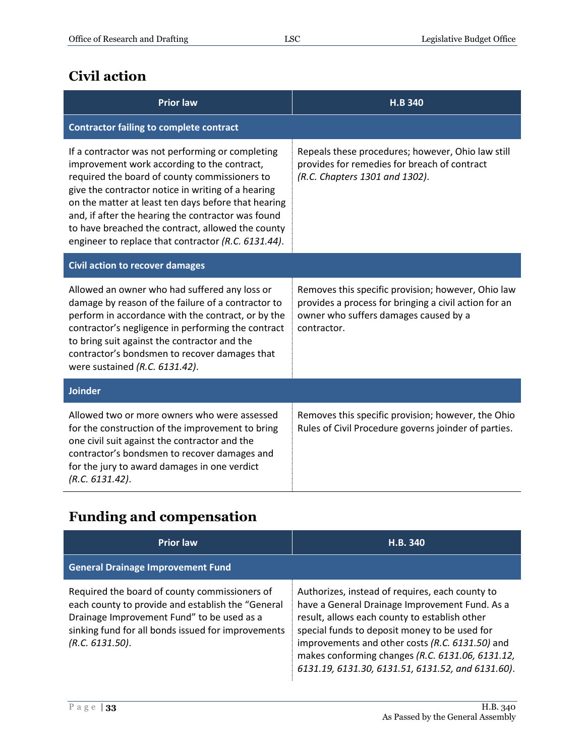#### <span id="page-32-0"></span>**Civil action**

| <b>Prior law</b>                                                                                                                                                                                                                                                                                                                                                                                                                | <b>H.B 340</b>                                                                                                                                                      |  |
|---------------------------------------------------------------------------------------------------------------------------------------------------------------------------------------------------------------------------------------------------------------------------------------------------------------------------------------------------------------------------------------------------------------------------------|---------------------------------------------------------------------------------------------------------------------------------------------------------------------|--|
| <b>Contractor failing to complete contract</b>                                                                                                                                                                                                                                                                                                                                                                                  |                                                                                                                                                                     |  |
| If a contractor was not performing or completing<br>improvement work according to the contract,<br>required the board of county commissioners to<br>give the contractor notice in writing of a hearing<br>on the matter at least ten days before that hearing<br>and, if after the hearing the contractor was found<br>to have breached the contract, allowed the county<br>engineer to replace that contractor (R.C. 6131.44). | Repeals these procedures; however, Ohio law still<br>provides for remedies for breach of contract<br>(R.C. Chapters 1301 and 1302).                                 |  |
| <b>Civil action to recover damages</b>                                                                                                                                                                                                                                                                                                                                                                                          |                                                                                                                                                                     |  |
| Allowed an owner who had suffered any loss or<br>damage by reason of the failure of a contractor to<br>perform in accordance with the contract, or by the<br>contractor's negligence in performing the contract<br>to bring suit against the contractor and the<br>contractor's bondsmen to recover damages that<br>were sustained (R.C. 6131.42).                                                                              | Removes this specific provision; however, Ohio law<br>provides a process for bringing a civil action for an<br>owner who suffers damages caused by a<br>contractor. |  |
| <b>Joinder</b>                                                                                                                                                                                                                                                                                                                                                                                                                  |                                                                                                                                                                     |  |
| Allowed two or more owners who were assessed<br>for the construction of the improvement to bring<br>one civil suit against the contractor and the<br>contractor's bondsmen to recover damages and<br>for the jury to award damages in one verdict<br>(R.C. 6131.42).                                                                                                                                                            | Removes this specific provision; however, the Ohio<br>Rules of Civil Procedure governs joinder of parties.                                                          |  |

## <span id="page-32-1"></span>**Funding and compensation**

| <b>Prior law</b>                                                                                                                                                                                                          | H.B. 340                                                                                                                                                                                                                                                                                                                                                        |
|---------------------------------------------------------------------------------------------------------------------------------------------------------------------------------------------------------------------------|-----------------------------------------------------------------------------------------------------------------------------------------------------------------------------------------------------------------------------------------------------------------------------------------------------------------------------------------------------------------|
| <b>General Drainage Improvement Fund</b>                                                                                                                                                                                  |                                                                                                                                                                                                                                                                                                                                                                 |
| Required the board of county commissioners of<br>each county to provide and establish the "General<br>Drainage Improvement Fund" to be used as a<br>sinking fund for all bonds issued for improvements<br>(R.C. 6131.50). | Authorizes, instead of requires, each county to<br>have a General Drainage Improvement Fund. As a<br>result, allows each county to establish other<br>special funds to deposit money to be used for<br>improvements and other costs (R.C. 6131.50) and<br>makes conforming changes (R.C. 6131.06, 6131.12,<br>6131.19, 6131.30, 6131.51, 6131.52, and 6131.60). |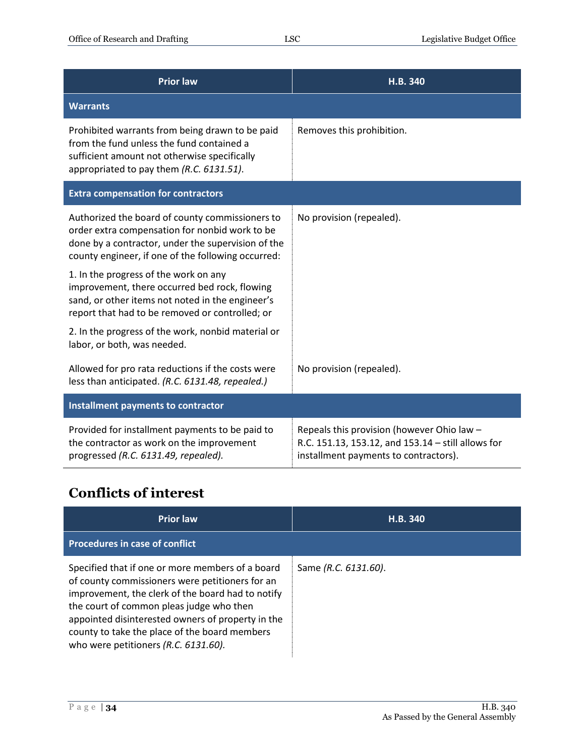| <b>Prior law</b>                                                                                                                                                                                              | H.B. 340                                                                                                                                  |
|---------------------------------------------------------------------------------------------------------------------------------------------------------------------------------------------------------------|-------------------------------------------------------------------------------------------------------------------------------------------|
| <b>Warrants</b>                                                                                                                                                                                               |                                                                                                                                           |
| Prohibited warrants from being drawn to be paid<br>from the fund unless the fund contained a<br>sufficient amount not otherwise specifically<br>appropriated to pay them (R.C. 6131.51).                      | Removes this prohibition.                                                                                                                 |
| <b>Extra compensation for contractors</b>                                                                                                                                                                     |                                                                                                                                           |
| Authorized the board of county commissioners to<br>order extra compensation for nonbid work to be<br>done by a contractor, under the supervision of the<br>county engineer, if one of the following occurred: | No provision (repealed).                                                                                                                  |
| 1. In the progress of the work on any<br>improvement, there occurred bed rock, flowing<br>sand, or other items not noted in the engineer's<br>report that had to be removed or controlled; or                 |                                                                                                                                           |
| 2. In the progress of the work, nonbid material or<br>labor, or both, was needed.                                                                                                                             |                                                                                                                                           |
| Allowed for pro rata reductions if the costs were<br>less than anticipated. (R.C. 6131.48, repealed.)                                                                                                         | No provision (repealed).                                                                                                                  |
| Installment payments to contractor                                                                                                                                                                            |                                                                                                                                           |
| Provided for installment payments to be paid to<br>the contractor as work on the improvement<br>progressed (R.C. 6131.49, repealed).                                                                          | Repeals this provision (however Ohio law -<br>R.C. 151.13, 153.12, and 153.14 - still allows for<br>installment payments to contractors). |

## <span id="page-33-0"></span>**Conflicts of interest**

| <b>Prior law</b>                                                                                                                                                                                                                                                                                                                                   | H.B. 340             |
|----------------------------------------------------------------------------------------------------------------------------------------------------------------------------------------------------------------------------------------------------------------------------------------------------------------------------------------------------|----------------------|
| <b>Procedures in case of conflict</b>                                                                                                                                                                                                                                                                                                              |                      |
| Specified that if one or more members of a board<br>of county commissioners were petitioners for an<br>improvement, the clerk of the board had to notify<br>the court of common pleas judge who then<br>appointed disinterested owners of property in the<br>county to take the place of the board members<br>who were petitioners (R.C. 6131.60). | Same (R.C. 6131.60). |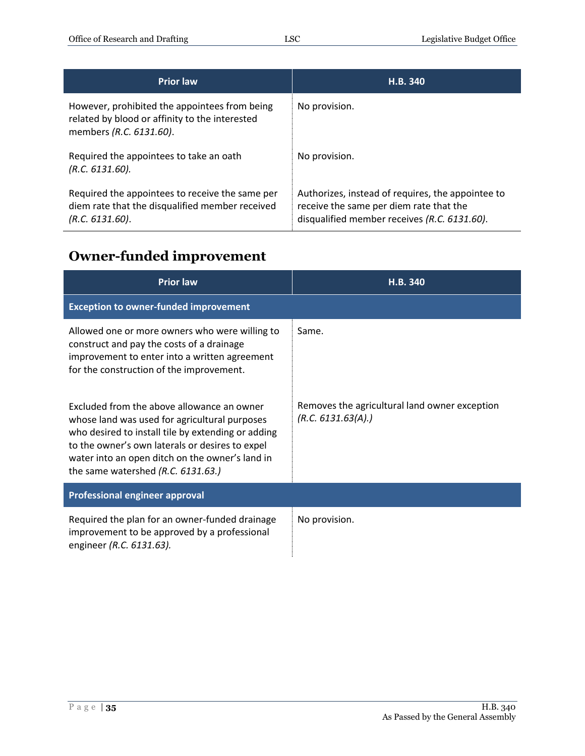| <b>Prior law</b>                                                                                                           | H.B. 340                                                                                                                                     |
|----------------------------------------------------------------------------------------------------------------------------|----------------------------------------------------------------------------------------------------------------------------------------------|
| However, prohibited the appointees from being<br>related by blood or affinity to the interested<br>members (R.C. 6131.60). | No provision.                                                                                                                                |
| Required the appointees to take an oath<br>(R.C. 6131.60).                                                                 | No provision.                                                                                                                                |
| Required the appointees to receive the same per<br>diem rate that the disqualified member received<br>(R.C. 6131.60).      | Authorizes, instead of requires, the appointee to<br>receive the same per diem rate that the<br>disqualified member receives (R.C. 6131.60). |

# <span id="page-34-0"></span>**Owner-funded improvement**

| <b>Prior law</b>                                                                                                                                                                                                                                                                                | <b>H.B. 340</b>                                                    |
|-------------------------------------------------------------------------------------------------------------------------------------------------------------------------------------------------------------------------------------------------------------------------------------------------|--------------------------------------------------------------------|
| <b>Exception to owner-funded improvement</b>                                                                                                                                                                                                                                                    |                                                                    |
| Allowed one or more owners who were willing to<br>construct and pay the costs of a drainage<br>improvement to enter into a written agreement<br>for the construction of the improvement.                                                                                                        | Same.                                                              |
| Excluded from the above allowance an owner<br>whose land was used for agricultural purposes<br>who desired to install tile by extending or adding<br>to the owner's own laterals or desires to expel<br>water into an open ditch on the owner's land in<br>the same watershed $(R.C. 6131.63.)$ | Removes the agricultural land owner exception<br>(R.C. 6131.63(A)) |
| <b>Professional engineer approval</b>                                                                                                                                                                                                                                                           |                                                                    |
| Required the plan for an owner-funded drainage<br>improvement to be approved by a professional<br>engineer (R.C. 6131.63).                                                                                                                                                                      | No provision.                                                      |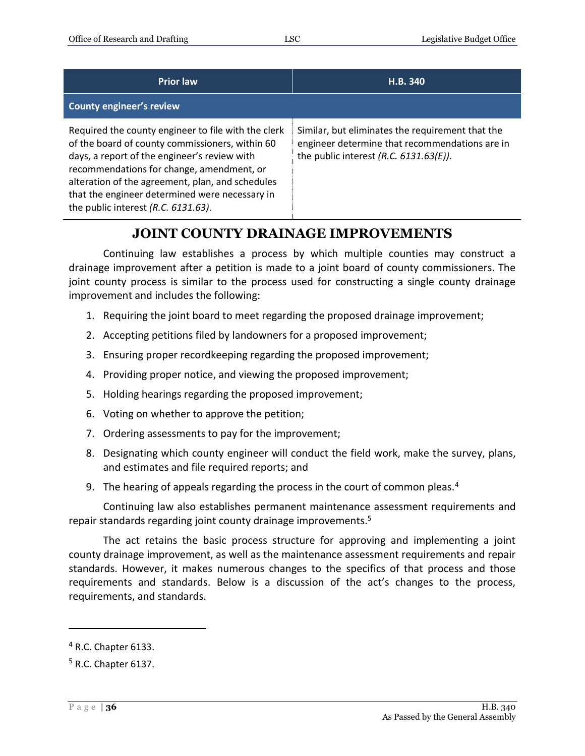| <b>Prior law</b>                                                                                                                                                                                                                                                                                                                                 | H.B. 340                                                                                                                                        |
|--------------------------------------------------------------------------------------------------------------------------------------------------------------------------------------------------------------------------------------------------------------------------------------------------------------------------------------------------|-------------------------------------------------------------------------------------------------------------------------------------------------|
| <b>County engineer's review</b>                                                                                                                                                                                                                                                                                                                  |                                                                                                                                                 |
| Required the county engineer to file with the clerk<br>of the board of county commissioners, within 60<br>days, a report of the engineer's review with<br>recommendations for change, amendment, or<br>alteration of the agreement, plan, and schedules<br>that the engineer determined were necessary in<br>the public interest (R.C. 6131.63). | Similar, but eliminates the requirement that the<br>engineer determine that recommendations are in<br>the public interest (R.C. $6131.63(E)$ ). |

#### **JOINT COUNTY DRAINAGE IMPROVEMENTS**

<span id="page-35-0"></span>Continuing law establishes a process by which multiple counties may construct a drainage improvement after a petition is made to a joint board of county commissioners. The joint county process is similar to the process used for constructing a single county drainage improvement and includes the following:

- 1. Requiring the joint board to meet regarding the proposed drainage improvement;
- 2. Accepting petitions filed by landowners for a proposed improvement;
- 3. Ensuring proper recordkeeping regarding the proposed improvement;
- 4. Providing proper notice, and viewing the proposed improvement;
- 5. Holding hearings regarding the proposed improvement;
- 6. Voting on whether to approve the petition;
- 7. Ordering assessments to pay for the improvement;
- 8. Designating which county engineer will conduct the field work, make the survey, plans, and estimates and file required reports; and
- 9. The hearing of appeals regarding the process in the court of common pleas.<sup>4</sup>

Continuing law also establishes permanent maintenance assessment requirements and repair standards regarding joint county drainage improvements.<sup>5</sup>

The act retains the basic process structure for approving and implementing a joint county drainage improvement, as well as the maintenance assessment requirements and repair standards. However, it makes numerous changes to the specifics of that process and those requirements and standards. Below is a discussion of the act's changes to the process, requirements, and standards.

 $\overline{a}$ 

 $4$  R.C. Chapter 6133.

<sup>5</sup> R.C. Chapter 6137.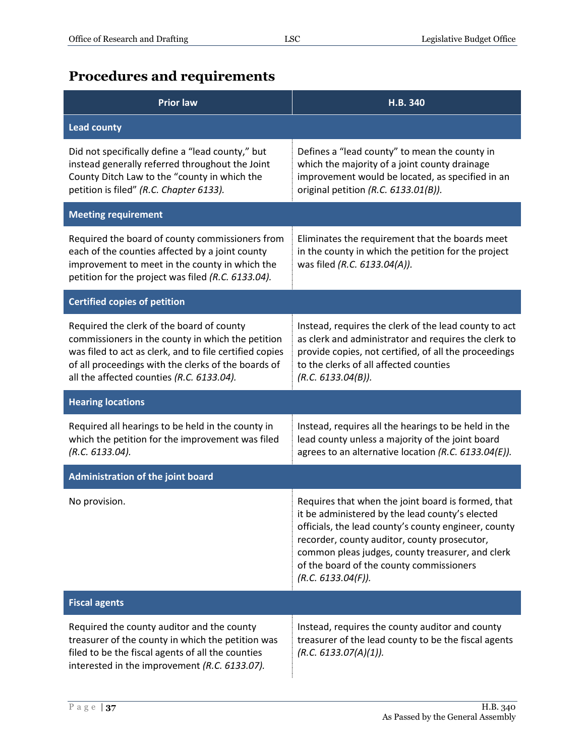## <span id="page-36-0"></span>**Procedures and requirements**

| <b>Prior law</b>                                                                                                                                                                                                                                              | H.B. 340                                                                                                                                                                                                                                                                                                                            |
|---------------------------------------------------------------------------------------------------------------------------------------------------------------------------------------------------------------------------------------------------------------|-------------------------------------------------------------------------------------------------------------------------------------------------------------------------------------------------------------------------------------------------------------------------------------------------------------------------------------|
| <b>Lead county</b>                                                                                                                                                                                                                                            |                                                                                                                                                                                                                                                                                                                                     |
| Did not specifically define a "lead county," but<br>instead generally referred throughout the Joint<br>County Ditch Law to the "county in which the<br>petition is filed" (R.C. Chapter 6133).                                                                | Defines a "lead county" to mean the county in<br>which the majority of a joint county drainage<br>improvement would be located, as specified in an<br>original petition (R.C. 6133.01(B)).                                                                                                                                          |
| <b>Meeting requirement</b>                                                                                                                                                                                                                                    |                                                                                                                                                                                                                                                                                                                                     |
| Required the board of county commissioners from<br>each of the counties affected by a joint county<br>improvement to meet in the county in which the<br>petition for the project was filed (R.C. 6133.04).                                                    | Eliminates the requirement that the boards meet<br>in the county in which the petition for the project<br>was filed (R.C. 6133.04(A)).                                                                                                                                                                                              |
| <b>Certified copies of petition</b>                                                                                                                                                                                                                           |                                                                                                                                                                                                                                                                                                                                     |
| Required the clerk of the board of county<br>commissioners in the county in which the petition<br>was filed to act as clerk, and to file certified copies<br>of all proceedings with the clerks of the boards of<br>all the affected counties (R.C. 6133.04). | Instead, requires the clerk of the lead county to act<br>as clerk and administrator and requires the clerk to<br>provide copies, not certified, of all the proceedings<br>to the clerks of all affected counties<br>(R.C. 6133.04(B)).                                                                                              |
| <b>Hearing locations</b>                                                                                                                                                                                                                                      |                                                                                                                                                                                                                                                                                                                                     |
| Required all hearings to be held in the county in<br>which the petition for the improvement was filed<br>(R.C. 6133.04).                                                                                                                                      | Instead, requires all the hearings to be held in the<br>lead county unless a majority of the joint board<br>agrees to an alternative location (R.C. 6133.04(E)).                                                                                                                                                                    |
| <b>Administration of the joint board</b>                                                                                                                                                                                                                      |                                                                                                                                                                                                                                                                                                                                     |
| No provision.                                                                                                                                                                                                                                                 | Requires that when the joint board is formed, that<br>it be administered by the lead county's elected<br>officials, the lead county's county engineer, county<br>recorder, county auditor, county prosecutor,<br>common pleas judges, county treasurer, and clerk<br>of the board of the county commissioners<br>(R.C. 6133.04(F)). |
| <b>Fiscal agents</b>                                                                                                                                                                                                                                          |                                                                                                                                                                                                                                                                                                                                     |
| Required the county auditor and the county<br>treasurer of the county in which the petition was<br>filed to be the fiscal agents of all the counties<br>interested in the improvement (R.C. 6133.07).                                                         | Instead, requires the county auditor and county<br>treasurer of the lead county to be the fiscal agents<br>(R.C. 6133.07(A)(1)).                                                                                                                                                                                                    |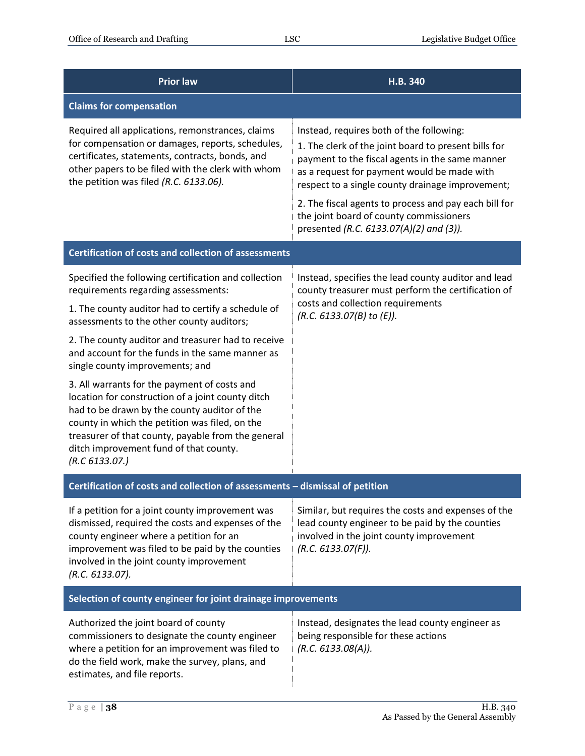| <b>Prior law</b>                                                                                                                                                                                                                                                                                                                                                                                                                                                                                                                                                                                                                                                    | H.B. 340                                                                                                                                                                                                                                                                                                                                                                                              |
|---------------------------------------------------------------------------------------------------------------------------------------------------------------------------------------------------------------------------------------------------------------------------------------------------------------------------------------------------------------------------------------------------------------------------------------------------------------------------------------------------------------------------------------------------------------------------------------------------------------------------------------------------------------------|-------------------------------------------------------------------------------------------------------------------------------------------------------------------------------------------------------------------------------------------------------------------------------------------------------------------------------------------------------------------------------------------------------|
| <b>Claims for compensation</b>                                                                                                                                                                                                                                                                                                                                                                                                                                                                                                                                                                                                                                      |                                                                                                                                                                                                                                                                                                                                                                                                       |
| Required all applications, remonstrances, claims<br>for compensation or damages, reports, schedules,<br>certificates, statements, contracts, bonds, and<br>other papers to be filed with the clerk with whom<br>the petition was filed (R.C. 6133.06).                                                                                                                                                                                                                                                                                                                                                                                                              | Instead, requires both of the following:<br>1. The clerk of the joint board to present bills for<br>payment to the fiscal agents in the same manner<br>as a request for payment would be made with<br>respect to a single county drainage improvement;<br>2. The fiscal agents to process and pay each bill for<br>the joint board of county commissioners<br>presented (R.C. 6133.07(A)(2) and (3)). |
| <b>Certification of costs and collection of assessments</b>                                                                                                                                                                                                                                                                                                                                                                                                                                                                                                                                                                                                         |                                                                                                                                                                                                                                                                                                                                                                                                       |
| Specified the following certification and collection<br>requirements regarding assessments:<br>1. The county auditor had to certify a schedule of<br>assessments to the other county auditors;<br>2. The county auditor and treasurer had to receive<br>and account for the funds in the same manner as<br>single county improvements; and<br>3. All warrants for the payment of costs and<br>location for construction of a joint county ditch<br>had to be drawn by the county auditor of the<br>county in which the petition was filed, on the<br>treasurer of that county, payable from the general<br>ditch improvement fund of that county.<br>(R.C 6133.07.) | Instead, specifies the lead county auditor and lead<br>county treasurer must perform the certification of<br>costs and collection requirements<br>(R.C. 6133.07(B) to (E)).                                                                                                                                                                                                                           |
| Certification of costs and collection of assessments - dismissal of petition                                                                                                                                                                                                                                                                                                                                                                                                                                                                                                                                                                                        |                                                                                                                                                                                                                                                                                                                                                                                                       |
| If a petition for a joint county improvement was<br>dismissed, required the costs and expenses of the<br>county engineer where a petition for an<br>improvement was filed to be paid by the counties<br>involved in the joint county improvement<br>(R.C. 6133.07).                                                                                                                                                                                                                                                                                                                                                                                                 | Similar, but requires the costs and expenses of the<br>lead county engineer to be paid by the counties<br>involved in the joint county improvement<br>(R.C. 6133.07(F)).                                                                                                                                                                                                                              |
| Selection of county engineer for joint drainage improvements                                                                                                                                                                                                                                                                                                                                                                                                                                                                                                                                                                                                        |                                                                                                                                                                                                                                                                                                                                                                                                       |
| Authorized the joint board of county<br>commissioners to designate the county engineer<br>where a petition for an improvement was filed to<br>do the field work, make the survey, plans, and<br>estimates, and file reports.                                                                                                                                                                                                                                                                                                                                                                                                                                        | Instead, designates the lead county engineer as<br>being responsible for these actions<br>(R.C. 6133.08(A)).                                                                                                                                                                                                                                                                                          |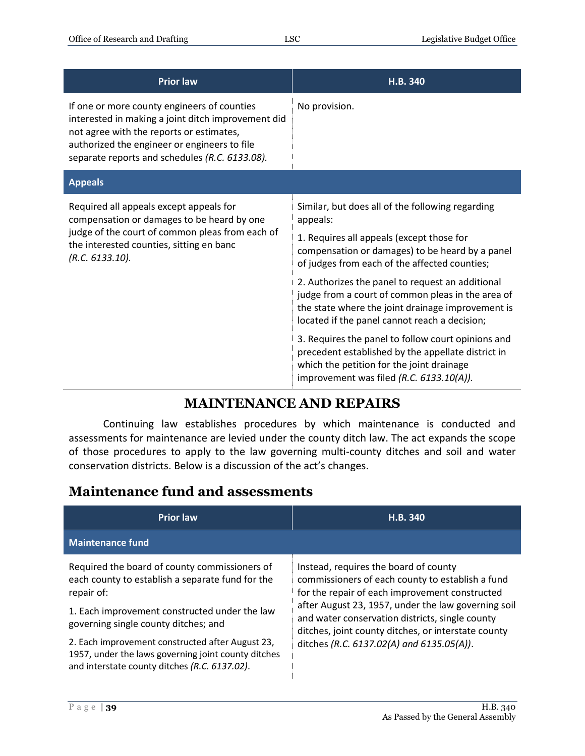| <b>Prior law</b>                                                                                                                                                                                                                                | H.B. 340                                                                                                                                                                                                                                                                                                                                                                                                                     |
|-------------------------------------------------------------------------------------------------------------------------------------------------------------------------------------------------------------------------------------------------|------------------------------------------------------------------------------------------------------------------------------------------------------------------------------------------------------------------------------------------------------------------------------------------------------------------------------------------------------------------------------------------------------------------------------|
| If one or more county engineers of counties<br>interested in making a joint ditch improvement did<br>not agree with the reports or estimates,<br>authorized the engineer or engineers to file<br>separate reports and schedules (R.C. 6133.08). | No provision.                                                                                                                                                                                                                                                                                                                                                                                                                |
| <b>Appeals</b>                                                                                                                                                                                                                                  |                                                                                                                                                                                                                                                                                                                                                                                                                              |
| Required all appeals except appeals for<br>compensation or damages to be heard by one<br>judge of the court of common pleas from each of<br>the interested counties, sitting en banc<br>(R.C. 6133.10).                                         | Similar, but does all of the following regarding<br>appeals:<br>1. Requires all appeals (except those for<br>compensation or damages) to be heard by a panel<br>of judges from each of the affected counties;<br>2. Authorizes the panel to request an additional<br>judge from a court of common pleas in the area of<br>the state where the joint drainage improvement is<br>located if the panel cannot reach a decision; |
|                                                                                                                                                                                                                                                 | 3. Requires the panel to follow court opinions and<br>precedent established by the appellate district in<br>which the petition for the joint drainage<br>improvement was filed (R.C. 6133.10(A)).                                                                                                                                                                                                                            |

#### **MAINTENANCE AND REPAIRS**

<span id="page-38-0"></span>Continuing law establishes procedures by which maintenance is conducted and assessments for maintenance are levied under the county ditch law. The act expands the scope of those procedures to apply to the law governing multi-county ditches and soil and water conservation districts. Below is a discussion of the act's changes.

#### <span id="page-38-1"></span>**Maintenance fund and assessments a**

| <b>Prior law</b>                                                                                                                                                                                                                                                                                                                                                     | H.B. 340                                                                                                                                                                                                                                                                                                                                                  |
|----------------------------------------------------------------------------------------------------------------------------------------------------------------------------------------------------------------------------------------------------------------------------------------------------------------------------------------------------------------------|-----------------------------------------------------------------------------------------------------------------------------------------------------------------------------------------------------------------------------------------------------------------------------------------------------------------------------------------------------------|
| <b>Maintenance fund</b>                                                                                                                                                                                                                                                                                                                                              |                                                                                                                                                                                                                                                                                                                                                           |
| Required the board of county commissioners of<br>each county to establish a separate fund for the<br>repair of:<br>1. Each improvement constructed under the law<br>governing single county ditches; and<br>2. Each improvement constructed after August 23,<br>1957, under the laws governing joint county ditches<br>and interstate county ditches (R.C. 6137.02). | Instead, requires the board of county<br>commissioners of each county to establish a fund<br>for the repair of each improvement constructed<br>after August 23, 1957, under the law governing soil<br>and water conservation districts, single county<br>ditches, joint county ditches, or interstate county<br>ditches (R.C. 6137.02(A) and 6135.05(A)). |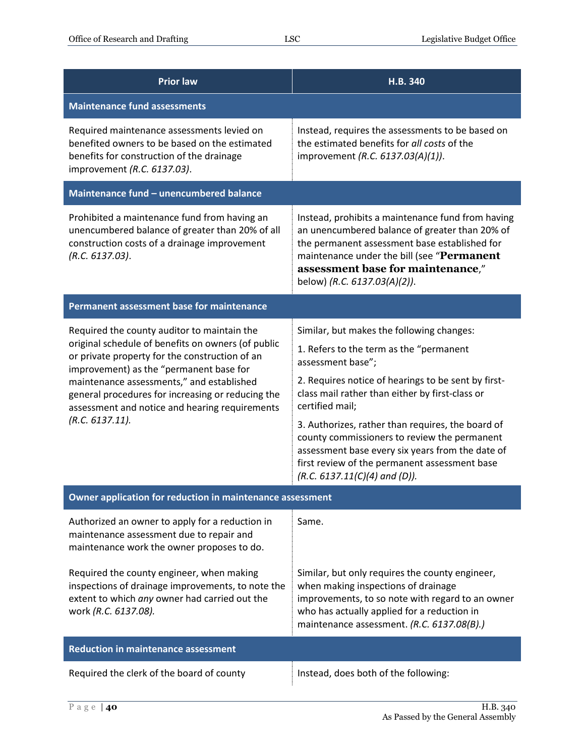| <b>Prior law</b>                                                                                                                                                                                                                                                                                                                                                      | H.B. 340                                                                                                                                                                                                                                                                                                                                                                                                                                                                            |  |
|-----------------------------------------------------------------------------------------------------------------------------------------------------------------------------------------------------------------------------------------------------------------------------------------------------------------------------------------------------------------------|-------------------------------------------------------------------------------------------------------------------------------------------------------------------------------------------------------------------------------------------------------------------------------------------------------------------------------------------------------------------------------------------------------------------------------------------------------------------------------------|--|
| <b>Maintenance fund assessments</b>                                                                                                                                                                                                                                                                                                                                   |                                                                                                                                                                                                                                                                                                                                                                                                                                                                                     |  |
| Required maintenance assessments levied on<br>benefited owners to be based on the estimated<br>benefits for construction of the drainage<br>improvement (R.C. 6137.03).                                                                                                                                                                                               | Instead, requires the assessments to be based on<br>the estimated benefits for all costs of the<br>improvement (R.C. 6137.03(A)(1)).                                                                                                                                                                                                                                                                                                                                                |  |
| Maintenance fund - unencumbered balance                                                                                                                                                                                                                                                                                                                               |                                                                                                                                                                                                                                                                                                                                                                                                                                                                                     |  |
| Prohibited a maintenance fund from having an<br>unencumbered balance of greater than 20% of all<br>construction costs of a drainage improvement<br>(R.C. 6137.03).                                                                                                                                                                                                    | Instead, prohibits a maintenance fund from having<br>an unencumbered balance of greater than 20% of<br>the permanent assessment base established for<br>maintenance under the bill (see "Permanent<br>assessment base for maintenance,"<br>below) (R.C. 6137.03(A)(2)).                                                                                                                                                                                                             |  |
| Permanent assessment base for maintenance                                                                                                                                                                                                                                                                                                                             |                                                                                                                                                                                                                                                                                                                                                                                                                                                                                     |  |
| Required the county auditor to maintain the<br>original schedule of benefits on owners (of public<br>or private property for the construction of an<br>improvement) as the "permanent base for<br>maintenance assessments," and established<br>general procedures for increasing or reducing the<br>assessment and notice and hearing requirements<br>(R.C. 6137.11). | Similar, but makes the following changes:<br>1. Refers to the term as the "permanent<br>assessment base";<br>2. Requires notice of hearings to be sent by first-<br>class mail rather than either by first-class or<br>certified mail;<br>3. Authorizes, rather than requires, the board of<br>county commissioners to review the permanent<br>assessment base every six years from the date of<br>first review of the permanent assessment base<br>$(R.C. 6137.11(C)(4)$ and (D)). |  |
| Owner application for reduction in maintenance assessment                                                                                                                                                                                                                                                                                                             |                                                                                                                                                                                                                                                                                                                                                                                                                                                                                     |  |
| Authorized an owner to apply for a reduction in<br>maintenance assessment due to repair and<br>maintenance work the owner proposes to do.                                                                                                                                                                                                                             | Same.                                                                                                                                                                                                                                                                                                                                                                                                                                                                               |  |
| Required the county engineer, when making<br>inspections of drainage improvements, to note the<br>extent to which any owner had carried out the<br>work (R.C. 6137.08).                                                                                                                                                                                               | Similar, but only requires the county engineer,<br>when making inspections of drainage<br>improvements, to so note with regard to an owner<br>who has actually applied for a reduction in<br>maintenance assessment. (R.C. 6137.08(B).)                                                                                                                                                                                                                                             |  |
| <b>Reduction in maintenance assessment</b>                                                                                                                                                                                                                                                                                                                            |                                                                                                                                                                                                                                                                                                                                                                                                                                                                                     |  |
| Required the clerk of the board of county                                                                                                                                                                                                                                                                                                                             | Instead, does both of the following:                                                                                                                                                                                                                                                                                                                                                                                                                                                |  |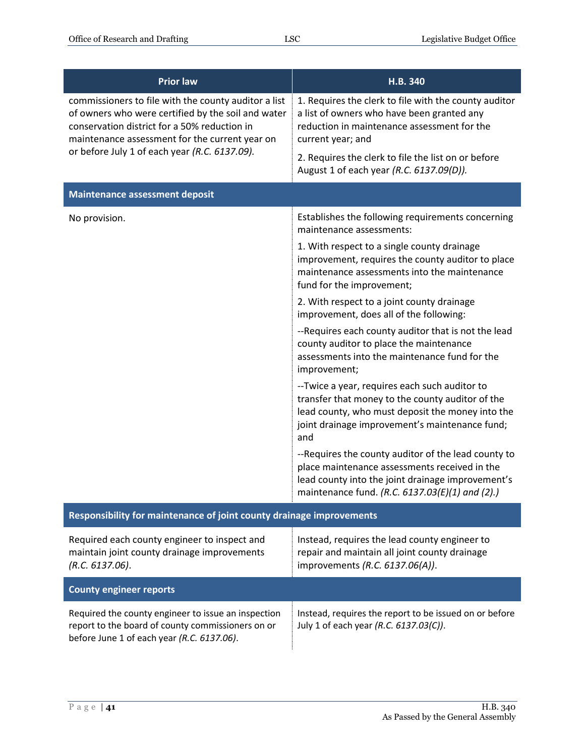| <b>Prior law</b>                                                                                                                                                                                             | <b>H.B. 340</b>                                                                                                                                                                                                |
|--------------------------------------------------------------------------------------------------------------------------------------------------------------------------------------------------------------|----------------------------------------------------------------------------------------------------------------------------------------------------------------------------------------------------------------|
| commissioners to file with the county auditor a list<br>of owners who were certified by the soil and water<br>conservation district for a 50% reduction in<br>maintenance assessment for the current year on | 1. Requires the clerk to file with the county auditor<br>a list of owners who have been granted any<br>reduction in maintenance assessment for the<br>current year; and                                        |
| or before July 1 of each year (R.C. 6137.09).                                                                                                                                                                | 2. Requires the clerk to file the list on or before<br>August 1 of each year (R.C. 6137.09(D)).                                                                                                                |
| <b>Maintenance assessment deposit</b>                                                                                                                                                                        |                                                                                                                                                                                                                |
| No provision.                                                                                                                                                                                                | Establishes the following requirements concerning<br>maintenance assessments:                                                                                                                                  |
|                                                                                                                                                                                                              | 1. With respect to a single county drainage<br>improvement, requires the county auditor to place<br>maintenance assessments into the maintenance<br>fund for the improvement;                                  |
|                                                                                                                                                                                                              | 2. With respect to a joint county drainage<br>improvement, does all of the following:                                                                                                                          |
|                                                                                                                                                                                                              | --Requires each county auditor that is not the lead<br>county auditor to place the maintenance<br>assessments into the maintenance fund for the<br>improvement;                                                |
|                                                                                                                                                                                                              | --Twice a year, requires each such auditor to<br>transfer that money to the county auditor of the<br>lead county, who must deposit the money into the<br>joint drainage improvement's maintenance fund;<br>and |
|                                                                                                                                                                                                              | --Requires the county auditor of the lead county to<br>place maintenance assessments received in the<br>lead county into the joint drainage improvement's<br>maintenance fund. (R.C. 6137.03(E)(1) and (2).)   |
| Responsibility for maintenance of joint county drainage improvements                                                                                                                                         |                                                                                                                                                                                                                |
| Required each county engineer to inspect and<br>maintain joint county drainage improvements<br>(R.C. 6137.06).                                                                                               | Instead, requires the lead county engineer to<br>repair and maintain all joint county drainage<br>improvements (R.C. 6137.06(A)).                                                                              |
| <b>County engineer reports</b>                                                                                                                                                                               |                                                                                                                                                                                                                |
| Required the county engineer to issue an inspection<br>report to the board of county commissioners on or<br>before June 1 of each year (R.C. 6137.06).                                                       | Instead, requires the report to be issued on or before<br>July 1 of each year (R.C. 6137.03(C)).                                                                                                               |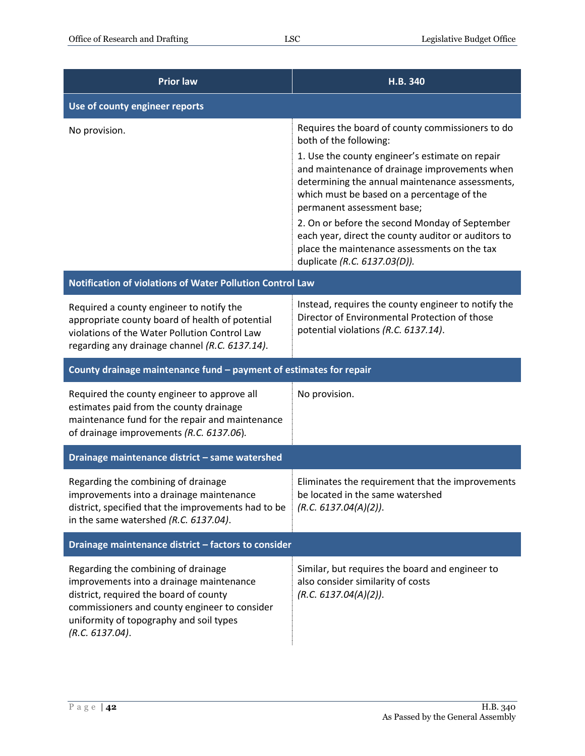| <b>Prior law</b>                                                                                                                                                                                                                         | H.B. 340                                                                                                                                                                                                                        |
|------------------------------------------------------------------------------------------------------------------------------------------------------------------------------------------------------------------------------------------|---------------------------------------------------------------------------------------------------------------------------------------------------------------------------------------------------------------------------------|
| Use of county engineer reports                                                                                                                                                                                                           |                                                                                                                                                                                                                                 |
| No provision.                                                                                                                                                                                                                            | Requires the board of county commissioners to do<br>both of the following:                                                                                                                                                      |
|                                                                                                                                                                                                                                          | 1. Use the county engineer's estimate on repair<br>and maintenance of drainage improvements when<br>determining the annual maintenance assessments,<br>which must be based on a percentage of the<br>permanent assessment base; |
|                                                                                                                                                                                                                                          | 2. On or before the second Monday of September<br>each year, direct the county auditor or auditors to<br>place the maintenance assessments on the tax<br>duplicate (R.C. 6137.03(D)).                                           |
| Notification of violations of Water Pollution Control Law                                                                                                                                                                                |                                                                                                                                                                                                                                 |
| Required a county engineer to notify the<br>appropriate county board of health of potential<br>violations of the Water Pollution Control Law<br>regarding any drainage channel (R.C. 6137.14).                                           | Instead, requires the county engineer to notify the<br>Director of Environmental Protection of those<br>potential violations (R.C. 6137.14).                                                                                    |
| County drainage maintenance fund - payment of estimates for repair                                                                                                                                                                       |                                                                                                                                                                                                                                 |
| Required the county engineer to approve all<br>estimates paid from the county drainage<br>maintenance fund for the repair and maintenance<br>of drainage improvements (R.C. 6137.06).                                                    | No provision.                                                                                                                                                                                                                   |
| Drainage maintenance district - same watershed                                                                                                                                                                                           |                                                                                                                                                                                                                                 |
| Regarding the combining of drainage<br>improvements into a drainage maintenance<br>district, specified that the improvements had to be<br>in the same watershed (R.C. 6137.04).                                                          | Eliminates the requirement that the improvements<br>be located in the same watershed<br>(R.C. 6137.04(A)(2)).                                                                                                                   |
| Drainage maintenance district - factors to consider                                                                                                                                                                                      |                                                                                                                                                                                                                                 |
| Regarding the combining of drainage<br>improvements into a drainage maintenance<br>district, required the board of county<br>commissioners and county engineer to consider<br>uniformity of topography and soil types<br>(R.C. 6137.04). | Similar, but requires the board and engineer to<br>also consider similarity of costs<br>(R.C. 6137.04(A)(2)).                                                                                                                   |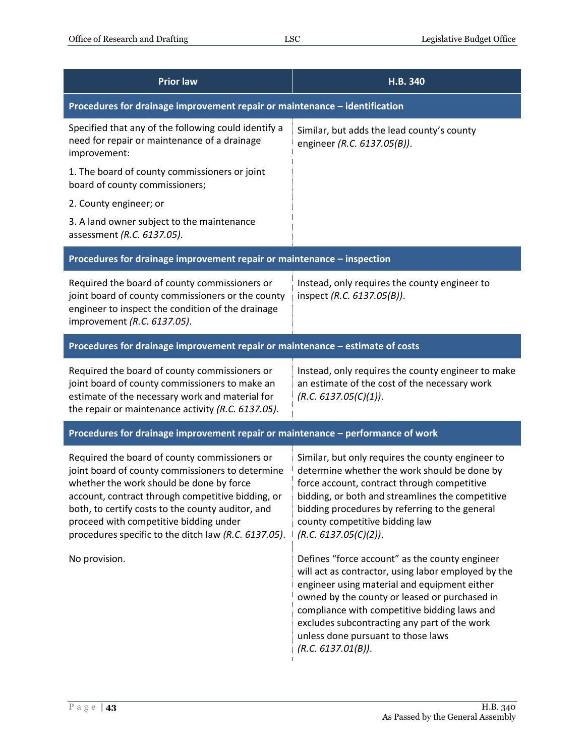| <b>Prior law</b>                                                                                                                                                                                                                                                                                                                                          | H.B. 340                                                                                                                                                                                                                                                                                                                                                           |  |
|-----------------------------------------------------------------------------------------------------------------------------------------------------------------------------------------------------------------------------------------------------------------------------------------------------------------------------------------------------------|--------------------------------------------------------------------------------------------------------------------------------------------------------------------------------------------------------------------------------------------------------------------------------------------------------------------------------------------------------------------|--|
| Procedures for drainage improvement repair or maintenance - identification                                                                                                                                                                                                                                                                                |                                                                                                                                                                                                                                                                                                                                                                    |  |
| Specified that any of the following could identify a<br>need for repair or maintenance of a drainage<br>improvement:                                                                                                                                                                                                                                      | Similar, but adds the lead county's county<br>engineer (R.C. 6137.05(B)).                                                                                                                                                                                                                                                                                          |  |
| 1. The board of county commissioners or joint<br>board of county commissioners;                                                                                                                                                                                                                                                                           |                                                                                                                                                                                                                                                                                                                                                                    |  |
| 2. County engineer; or                                                                                                                                                                                                                                                                                                                                    |                                                                                                                                                                                                                                                                                                                                                                    |  |
| 3. A land owner subject to the maintenance<br>assessment (R.C. 6137.05).                                                                                                                                                                                                                                                                                  |                                                                                                                                                                                                                                                                                                                                                                    |  |
| Procedures for drainage improvement repair or maintenance - inspection                                                                                                                                                                                                                                                                                    |                                                                                                                                                                                                                                                                                                                                                                    |  |
| Required the board of county commissioners or<br>joint board of county commissioners or the county<br>engineer to inspect the condition of the drainage<br>improvement (R.C. 6137.05).                                                                                                                                                                    | Instead, only requires the county engineer to<br>inspect (R.C. 6137.05(B)).                                                                                                                                                                                                                                                                                        |  |
| Procedures for drainage improvement repair or maintenance - estimate of costs                                                                                                                                                                                                                                                                             |                                                                                                                                                                                                                                                                                                                                                                    |  |
| Required the board of county commissioners or<br>joint board of county commissioners to make an<br>estimate of the necessary work and material for<br>the repair or maintenance activity (R.C. 6137.05).                                                                                                                                                  | Instead, only requires the county engineer to make<br>an estimate of the cost of the necessary work<br>(R.C. 6137.05(C)(1)).                                                                                                                                                                                                                                       |  |
| Procedures for drainage improvement repair or maintenance - performance of work                                                                                                                                                                                                                                                                           |                                                                                                                                                                                                                                                                                                                                                                    |  |
| Required the board of county commissioners or<br>joint board of county commissioners to determine<br>whether the work should be done by force<br>account, contract through competitive bidding, or<br>both, to certify costs to the county auditor, and<br>proceed with competitive bidding under<br>procedures specific to the ditch law (R.C. 6137.05). | Similar, but only requires the county engineer to<br>determine whether the work should be done by<br>force account, contract through competitive<br>bidding, or both and streamlines the competitive<br>bidding procedures by referring to the general<br>county competitive bidding law<br>(R.C. 6137.05(C)(2)).                                                  |  |
| No provision.                                                                                                                                                                                                                                                                                                                                             | Defines "force account" as the county engineer<br>will act as contractor, using labor employed by the<br>engineer using material and equipment either<br>owned by the county or leased or purchased in<br>compliance with competitive bidding laws and<br>excludes subcontracting any part of the work<br>unless done pursuant to those laws<br>(R.C. 6137.01(B)). |  |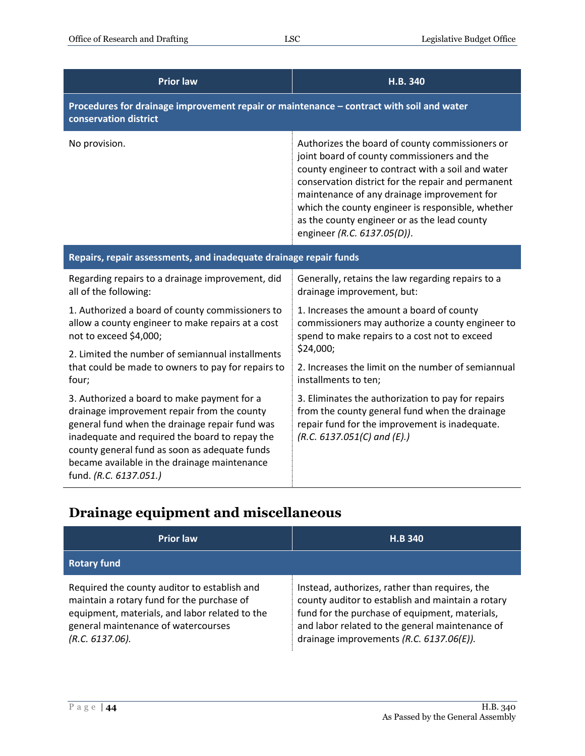| <b>Prior law</b>                                                                                                                                                                                                                                                                                                          | H.B. 340                                                                                                                                                                                                                                                                                                                                                                                     |  |
|---------------------------------------------------------------------------------------------------------------------------------------------------------------------------------------------------------------------------------------------------------------------------------------------------------------------------|----------------------------------------------------------------------------------------------------------------------------------------------------------------------------------------------------------------------------------------------------------------------------------------------------------------------------------------------------------------------------------------------|--|
| Procedures for drainage improvement repair or maintenance - contract with soil and water<br>conservation district                                                                                                                                                                                                         |                                                                                                                                                                                                                                                                                                                                                                                              |  |
| No provision.                                                                                                                                                                                                                                                                                                             | Authorizes the board of county commissioners or<br>joint board of county commissioners and the<br>county engineer to contract with a soil and water<br>conservation district for the repair and permanent<br>maintenance of any drainage improvement for<br>which the county engineer is responsible, whether<br>as the county engineer or as the lead county<br>engineer (R.C. 6137.05(D)). |  |
| Repairs, repair assessments, and inadequate drainage repair funds                                                                                                                                                                                                                                                         |                                                                                                                                                                                                                                                                                                                                                                                              |  |
| Regarding repairs to a drainage improvement, did<br>all of the following:                                                                                                                                                                                                                                                 | Generally, retains the law regarding repairs to a<br>drainage improvement, but:                                                                                                                                                                                                                                                                                                              |  |
| 1. Authorized a board of county commissioners to<br>allow a county engineer to make repairs at a cost<br>not to exceed \$4,000;                                                                                                                                                                                           | 1. Increases the amount a board of county<br>commissioners may authorize a county engineer to<br>spend to make repairs to a cost not to exceed                                                                                                                                                                                                                                               |  |
| 2. Limited the number of semiannual installments<br>that could be made to owners to pay for repairs to<br>four;                                                                                                                                                                                                           | \$24,000;<br>2. Increases the limit on the number of semiannual<br>installments to ten;                                                                                                                                                                                                                                                                                                      |  |
| 3. Authorized a board to make payment for a<br>drainage improvement repair from the county<br>general fund when the drainage repair fund was<br>inadequate and required the board to repay the<br>county general fund as soon as adequate funds<br>became available in the drainage maintenance<br>fund. (R.C. 6137.051.) | 3. Eliminates the authorization to pay for repairs<br>from the county general fund when the drainage<br>repair fund for the improvement is inadequate.<br>$(R.C. 6137.051(C)$ and $(E).)$                                                                                                                                                                                                    |  |

### <span id="page-43-0"></span>**Drainage equipment and miscellaneous**

| <b>Prior law</b>                                                                                                                                                                                          | <b>H.B 340</b>                                                                                                                                                                                                                                       |
|-----------------------------------------------------------------------------------------------------------------------------------------------------------------------------------------------------------|------------------------------------------------------------------------------------------------------------------------------------------------------------------------------------------------------------------------------------------------------|
| <b>Rotary fund</b>                                                                                                                                                                                        |                                                                                                                                                                                                                                                      |
| Required the county auditor to establish and<br>maintain a rotary fund for the purchase of<br>equipment, materials, and labor related to the<br>general maintenance of watercourses<br>$(R.C. 6137.06)$ . | Instead, authorizes, rather than requires, the<br>county auditor to establish and maintain a rotary<br>fund for the purchase of equipment, materials,<br>and labor related to the general maintenance of<br>drainage improvements (R.C. 6137.06(E)). |